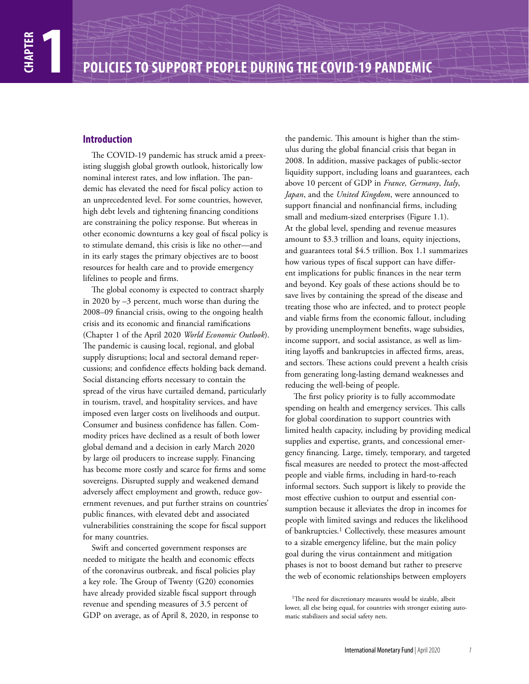## **Introduction**

The COVID-19 pandemic has struck amid a preexisting sluggish global growth outlook, historically low nominal interest rates, and low inflation. The pandemic has elevated the need for fiscal policy action to an unprecedented level. For some countries, however, high debt levels and tightening financing conditions are constraining the policy response. But whereas in other economic downturns a key goal of fiscal policy is to stimulate demand, this crisis is like no other—and in its early stages the primary objectives are to boost resources for health care and to provide emergency lifelines to people and firms.

The global economy is expected to contract sharply in 2020 by –3 percent, much worse than during the 2008–09 financial crisis, owing to the ongoing health crisis and its economic and financial ramifications (Chapter 1 of the April 2020 *World Economic Outlook*). The pandemic is causing local, regional, and global supply disruptions; local and sectoral demand repercussions; and confidence effects holding back demand. Social distancing efforts necessary to contain the spread of the virus have curtailed demand, particularly in tourism, travel, and hospitality services, and have imposed even larger costs on livelihoods and output. Consumer and business confidence has fallen. Commodity prices have declined as a result of both lower global demand and a decision in early March 2020 by large oil producers to increase supply. Financing has become more costly and scarce for firms and some sovereigns. Disrupted supply and weakened demand adversely affect employment and growth, reduce government revenues, and put further strains on countries' public finances, with elevated debt and associated vulnerabilities constraining the scope for fiscal support for many countries.

Swift and concerted government responses are needed to mitigate the health and economic effects of the coronavirus outbreak, and fiscal policies play a key role. The Group of Twenty (G20) economies have already provided sizable fiscal support through revenue and spending measures of 3.5 percent of GDP on average, as of April 8, 2020, in response to

the pandemic. This amount is higher than the stimulus during the global financial crisis that began in 2008. In addition, massive packages of public-sector liquidity support, including loans and guarantees, each above 10 percent of GDP in *France, Germany*, *Italy*, *Japan*, and the *United Kingdom*, were announced to support financial and nonfinancial firms, including small and medium-sized enterprises (Figure 1.1). At the global level, spending and revenue measures amount to \$3.3 trillion and loans, equity injections, and guarantees total \$4.5 trillion. Box 1.1 summarizes how various types of fiscal support can have different implications for public finances in the near term and beyond. Key goals of these actions should be to save lives by containing the spread of the disease and treating those who are infected, and to protect people and viable firms from the economic fallout, including by providing unemployment benefits, wage subsidies, income support, and social assistance, as well as limiting layoffs and bankruptcies in affected firms, areas, and sectors. These actions could prevent a health crisis from generating long-lasting demand weaknesses and reducing the well-being of people.

The first policy priority is to fully accommodate spending on health and emergency services. This calls for global coordination to support countries with limited health capacity, including by providing medical supplies and expertise, grants, and concessional emergency financing. Large, timely, temporary, and targeted fiscal measures are needed to protect the most-affected people and viable firms, including in hard-to-reach informal sectors. Such support is likely to provide the most effective cushion to output and essential consumption because it alleviates the drop in incomes for people with limited savings and reduces the likelihood of bankruptcies.<sup>1</sup> Collectively, these measures amount to a sizable emergency lifeline, but the main policy goal during the virus containment and mitigation phases is not to boost demand but rather to preserve the web of economic relationships between employers

<sup>&</sup>lt;sup>1</sup>The need for discretionary measures would be sizable, albeit lower, all else being equal, for countries with stronger existing automatic stabilizers and social safety nets.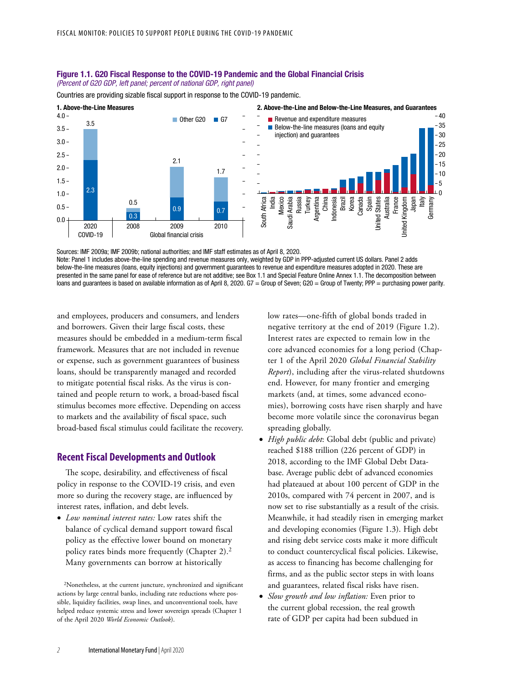#### Figure 1.1. G20 Fiscal Response to the COVID-19 Pandemic and the Global Financial Crisis (Percent of G20 GDP, left panel; percent of national GDP, right panel)

Countries are providing sizable fiscal support in response to the COVID-19 pandemic.



Sources: IMF 2009a; IMF 2009b; national authorities; and IMF staff estimates as of April 8, 2020. Note: Panel 1 includes above-the-line spending and revenue measures only, weighted by GDP in PPP-adjusted current US dollars. Panel 2 adds below-the-line measures (loans, equity injections) and government guarantees to revenue and expenditure measures adopted in 2020. These are presented in the same panel for ease of reference but are not additive; see Box 1.1 and Special Feature Online Annex 1.1. The decomposition between loans and guarantees is based on available information as of April 8, 2020. G7 = Group of Seven; G20 = Group of Twenty; PPP = purchasing power parity.

and employees, producers and consumers, and lenders and borrowers. Given their large fiscal costs, these measures should be embedded in a medium-term fiscal framework. Measures that are not included in revenue or expense, such as government guarantees of business loans, should be transparently managed and recorded to mitigate potential fiscal risks. As the virus is contained and people return to work, a broad-based fiscal stimulus becomes more effective. Depending on access to markets and the availability of fiscal space, such broad-based fiscal stimulus could facilitate the recovery.

### **Recent Fiscal Developments and Outlook**

The scope, desirability, and effectiveness of fiscal policy in response to the COVID-19 crisis, and even more so during the recovery stage, are influenced by interest rates, inflation, and debt levels.

• *Low nominal interest rates:* Low rates shift the balance of cyclical demand support toward fiscal policy as the effective lower bound on monetary policy rates binds more frequently (Chapter 2).2 Many governments can borrow at historically

low rates—one-fifth of global bonds traded in negative territory at the end of 2019 (Figure 1.2). Interest rates are expected to remain low in the core advanced economies for a long period (Chapter 1 of the April 2020 *Global Financial Stability Report*), including after the virus-related shutdowns end. However, for many frontier and emerging markets (and, at times, some advanced economies), borrowing costs have risen sharply and have become more volatile since the coronavirus began spreading globally.

- *High public debt*: Global debt (public and private) reached \$188 trillion (226 percent of GDP) in 2018, according to the IMF Global Debt Database. Average public debt of advanced economies had plateaued at about 100 percent of GDP in the 2010s, compared with 74 percent in 2007, and is now set to rise substantially as a result of the crisis. Meanwhile, it had steadily risen in emerging market and developing economies (Figure 1.3). High debt and rising debt service costs make it more difficult to conduct countercyclical fiscal policies. Likewise, as access to financing has become challenging for firms, and as the public sector steps in with loans and guarantees, related fiscal risks have risen.
- *Slow growth and low inflation:* Even prior to the current global recession, the real growth rate of GDP per capita had been subdued in

<sup>2</sup>Nonetheless, at the current juncture, synchronized and significant actions by large central banks, including rate reductions where possible, liquidity facilities, swap lines, and unconventional tools, have helped reduce systemic stress and lower sovereign spreads (Chapter 1 of the April 2020 *World Economic Outlook*).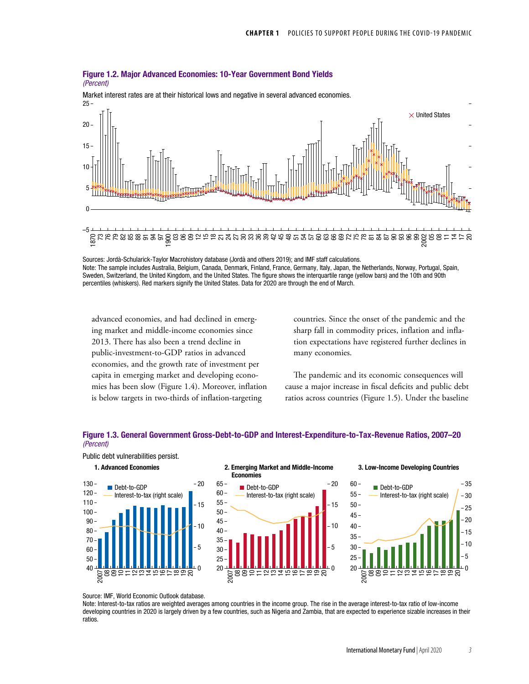#### Figure 1.2. Major Advanced Economies: 10-Year Government Bond Yields *(Percent)*



 $25 -$ Market interest rates are at their historical lows and negative in several advanced economies.

Sources: Jordà-Schularick-Taylor Macrohistory database (Jordà and others 2019); and IMF staff calculations. Note: The sample includes Australia, Belgium, Canada, Denmark, Finland, France, Germany, Italy, Japan, the Netherlands, Norway, Portugal, Spain, Sweden, Switzerland, the United Kingdom, and the United States. The figure shows the interquartile range (yellow bars) and the 10th and 90th percentiles (whiskers). Red markers signify the United States. Data for 2020 are through the end of March.

advanced economies, and had declined in emerging market and middle-income economies since 2013. There has also been a trend decline in public-investment-to-GDP ratios in advanced economies, and the growth rate of investment per capita in emerging market and developing economies has been slow (Figure 1.4). Moreover, inflation is below targets in two-thirds of inflation-targeting

countries. Since the onset of the pandemic and the sharp fall in commodity prices, inflation and inflation expectations have registered further declines in many economies.

The pandemic and its economic consequences will cause a major increase in fiscal deficits and public debt ratios across countries (Figure 1.5). Under the baseline

 $-20$ 

## Figure 1.3. General Government Gross-Debt-to-GDP and Interest-Expenditure-to-Tax-Revenue Ratios, 2007–20 (Percent)





#### Interest-to-tax (right scale) Debt-to-GDP 1. Advanced Economies 2. Emerging Market and Middle-Income Economies



### 3. Low-Income Developing Countries



Source: IMF, World Economic Outlook database.

Note: Interest-to-tax ratios are weighted averages among countries in the income group. The rise in the average interest-to-tax ratio of low-income developing countries in 2020 is largely driven by a few countries, such as Nigeria and Zambia, that are expected to experience sizable increases in their ratios.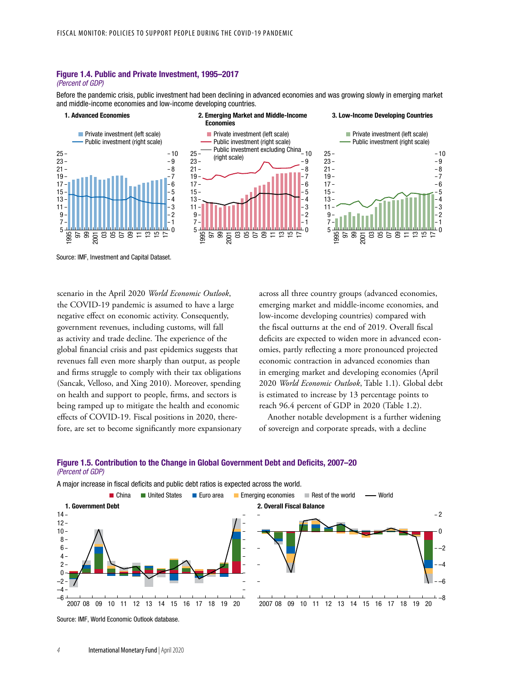## Figure 1.4. Public and Private Investment, 1995–2017

#### (Percent of GDP)

Before the pandemic crisis, public investment had been declining in advanced economies and was growing slowly in emerging market and middle-income economies and low-income developing countries.



Source: IMF, Investment and Capital Dataset.

scenario in the April 2020 *World Economic Outlook*, the COVID-19 pandemic is assumed to have a large negative effect on economic activity. Consequently, government revenues, including customs, will fall as activity and trade decline. The experience of the global financial crisis and past epidemics suggests that revenues fall even more sharply than output, as people and firms struggle to comply with their tax obligations (Sancak, Velloso, and Xing 2010). Moreover, spending on health and support to people, firms, and sectors is being ramped up to mitigate the health and economic effects of COVID-19. Fiscal positions in 2020, therefore, are set to become significantly more expansionary across all three country groups (advanced economies, emerging market and middle-income economies, and low-income developing countries) compared with the fiscal outturns at the end of 2019. Overall fiscal deficits are expected to widen more in advanced economies, partly reflecting a more pronounced projected economic contraction in advanced economies than in emerging market and developing economies (April *World Economic Outlook*, Table 1.1). Global debt is estimated to increase by 13 percentage points to reach 96.4 percent of GDP in 2020 (Table 1.2).

Another notable development is a further widening of sovereign and corporate spreads, with a decline

### Figure 1.5. Contribution to the Change in Global Government Debt and Deficits, 2007–20 (Percent of GDP)

A major increase in fiscal deficits and public debt ratios is expected across the world.



Source: IMF, World Economic Outlook database.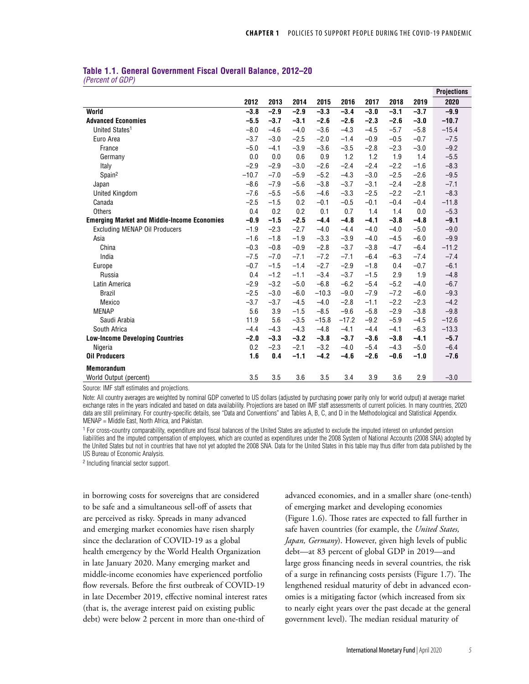|                  | Table 1.1. General Government Fiscal Overall Balance, 2012–20 |  |  |
|------------------|---------------------------------------------------------------|--|--|
| (Percent of GDP) |                                                               |  |  |

|                                                    |         |        |        |         |         |        |        |        | <b>Projections</b> |
|----------------------------------------------------|---------|--------|--------|---------|---------|--------|--------|--------|--------------------|
|                                                    | 2012    | 2013   | 2014   | 2015    | 2016    | 2017   | 2018   | 2019   | 2020               |
| World                                              | $-3.8$  | $-2.9$ | $-2.9$ | $-3.3$  | $-3.4$  | $-3.0$ | $-3.1$ | $-3.7$ | $-9.9$             |
| <b>Advanced Economies</b>                          | $-5.5$  | $-3.7$ | $-3.1$ | $-2.6$  | $-2.6$  | $-2.3$ | $-2.6$ | $-3.0$ | $-10.7$            |
| United States <sup>1</sup>                         | $-8.0$  | $-4.6$ | $-4.0$ | $-3.6$  | $-4.3$  | $-4.5$ | $-5.7$ | $-5.8$ | $-15.4$            |
| Euro Area                                          | $-3.7$  | $-3.0$ | $-2.5$ | $-2.0$  | $-1.4$  | $-0.9$ | $-0.5$ | $-0.7$ | $-7.5$             |
| France                                             | $-5.0$  | $-4.1$ | $-3.9$ | $-3.6$  | $-3.5$  | $-2.8$ | $-2.3$ | $-3.0$ | $-9.2$             |
| Germany                                            | 0.0     | 0.0    | 0.6    | 0.9     | 1.2     | 1.2    | 1.9    | 1.4    | $-5.5$             |
| Italy                                              | $-2.9$  | $-2.9$ | $-3.0$ | $-2.6$  | $-2.4$  | $-2.4$ | $-2.2$ | $-1.6$ | $-8.3$             |
| Spain <sup>2</sup>                                 | $-10.7$ | $-7.0$ | $-5.9$ | $-5.2$  | $-4.3$  | $-3.0$ | $-2.5$ | $-2.6$ | $-9.5$             |
| Japan                                              | $-8.6$  | $-7.9$ | $-5.6$ | $-3.8$  | $-3.7$  | $-3.1$ | $-2.4$ | $-2.8$ | $-7.1$             |
| <b>United Kingdom</b>                              | $-7.6$  | $-5.5$ | $-5.6$ | $-4.6$  | $-3.3$  | $-2.5$ | $-2.2$ | $-2.1$ | $-8.3$             |
| Canada                                             | $-2.5$  | $-1.5$ | 0.2    | $-0.1$  | $-0.5$  | $-0.1$ | $-0.4$ | $-0.4$ | $-11.8$            |
| <b>Others</b>                                      | 0.4     | 0.2    | 0.2    | 0.1     | 0.7     | 1.4    | 1.4    | 0.0    | $-5.3$             |
| <b>Emerging Market and Middle-Income Economies</b> | $-0.9$  | $-1.5$ | $-2.5$ | $-4.4$  | $-4.8$  | $-4.1$ | $-3.8$ | $-4.8$ | $-9.1$             |
| <b>Excluding MENAP Oil Producers</b>               | $-1.9$  | $-2.3$ | $-2.7$ | $-4.0$  | $-4.4$  | $-4.0$ | $-4.0$ | $-5.0$ | $-9.0$             |
| Asia                                               | $-1.6$  | $-1.8$ | $-1.9$ | $-3.3$  | $-3.9$  | $-4.0$ | $-4.5$ | $-6.0$ | $-9.9$             |
| China                                              | $-0.3$  | $-0.8$ | $-0.9$ | $-2.8$  | $-3.7$  | $-3.8$ | $-4.7$ | $-6.4$ | $-11.2$            |
| India                                              | $-7.5$  | $-7.0$ | $-7.1$ | $-7.2$  | $-7.1$  | $-6.4$ | $-6.3$ | $-7.4$ | $-7.4$             |
| Europe                                             | $-0.7$  | $-1.5$ | $-1.4$ | $-2.7$  | $-2.9$  | $-1.8$ | 0.4    | $-0.7$ | $-6.1$             |
| Russia                                             | 0.4     | $-1.2$ | $-1.1$ | $-3.4$  | $-3.7$  | $-1.5$ | 2.9    | 1.9    | $-4.8$             |
| Latin America                                      | $-2.9$  | $-3.2$ | $-5.0$ | $-6.8$  | $-6.2$  | $-5.4$ | $-5.2$ | $-4.0$ | $-6.7$             |
| <b>Brazil</b>                                      | $-2.5$  | $-3.0$ | $-6.0$ | $-10.3$ | $-9.0$  | $-7.9$ | $-7.2$ | $-6.0$ | $-9.3$             |
| Mexico                                             | $-3.7$  | $-3.7$ | $-4.5$ | $-4.0$  | $-2.8$  | $-1.1$ | $-2.2$ | $-2.3$ | $-4.2$             |
| <b>MENAP</b>                                       | 5.6     | 3.9    | $-1.5$ | $-8.5$  | $-9.6$  | $-5.8$ | $-2.9$ | $-3.8$ | $-9.8$             |
| Saudi Arabia                                       | 11.9    | 5.6    | $-3.5$ | $-15.8$ | $-17.2$ | $-9.2$ | $-5.9$ | $-4.5$ | $-12.6$            |
| South Africa                                       | $-4.4$  | $-4.3$ | $-4.3$ | $-4.8$  | $-4.1$  | $-4.4$ | $-4.1$ | $-6.3$ | $-13.3$            |
| <b>Low-Income Developing Countries</b>             | $-2.0$  | $-3.3$ | $-3.2$ | $-3.8$  | $-3.7$  | $-3.6$ | $-3.8$ | $-4.1$ | $-5.7$             |
| Nigeria                                            | 0.2     | $-2.3$ | $-2.1$ | $-3.2$  | $-4.0$  | $-5.4$ | $-4.3$ | $-5.0$ | $-6.4$             |
| <b>Oil Producers</b>                               | 1.6     | 0.4    | $-1.1$ | $-4.2$  | $-4.6$  | $-2.6$ | $-0.6$ | $-1.0$ | $-7.6$             |
| <b>Memorandum</b>                                  |         |        |        |         |         |        |        |        |                    |
| World Output (percent)                             | 3.5     | 3.5    | 3.6    | 3.5     | 3.4     | 3.9    | 3.6    | 2.9    | $-3.0$             |

Source: IMF staff estimates and projections.

Note: All country averages are weighted by nominal GDP converted to US dollars (adjusted by purchasing power parity only for world output) at average market exchange rates in the years indicated and based on data availability. Projections are based on IMF staff assessments of current policies. In many countries, 2020 data are still preliminary. For country-specific details, see "Data and Conventions" and Tables A, B, C, and D in the Methodological and Statistical Appendix. MENAP = Middle East, North Africa, and Pakistan.

<sup>1</sup> For cross-country comparability, expenditure and fiscal balances of the United States are adjusted to exclude the imputed interest on unfunded pension liabilities and the imputed compensation of employees, which are counted as expenditures under the 2008 System of National Accounts (2008 SNA) adopted by the United States but not in countries that have not yet adopted the 2008 SNA. Data for the United States in this table may thus differ from data published by the US Bureau of Economic Analysis.

2 Including financial sector support.

in borrowing costs for sovereigns that are considered to be safe and a simultaneous sell-off of assets that are perceived as risky. Spreads in many advanced and emerging market economies have risen sharply since the declaration of COVID-19 as a global health emergency by the World Health Organization in late January 2020. Many emerging market and middle-income economies have experienced portfolio flow reversals. Before the first outbreak of COVID-19 in late December 2019, effective nominal interest rates (that is, the average interest paid on existing public debt) were below 2 percent in more than one-third of

advanced economies, and in a smaller share (one-tenth) of emerging market and developing economies (Figure 1.6). Those rates are expected to fall further in safe haven countries (for example, the *United States, Japan, Germany*). However, given high levels of public debt—at 83 percent of global GDP in 2019—and large gross financing needs in several countries, the risk of a surge in refinancing costs persists (Figure 1.7). The lengthened residual maturity of debt in advanced economies is a mitigating factor (which increased from six to nearly eight years over the past decade at the general government level). The median residual maturity of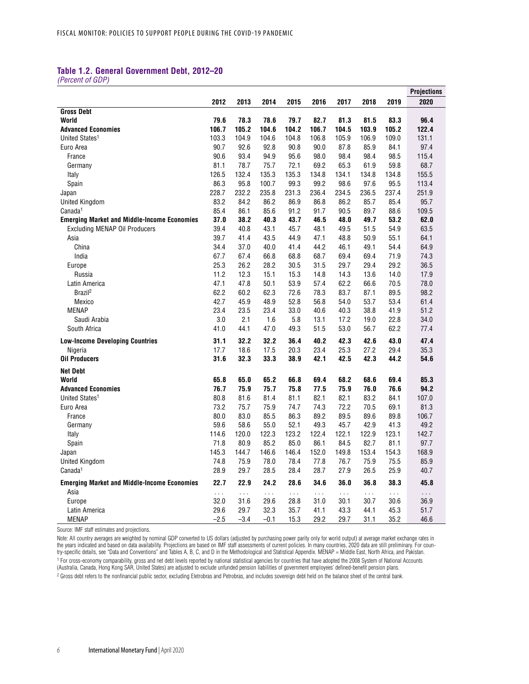## **Table 1.2. General Government Debt, 2012–20**

*(Percent of GDP)*

|                                                    |           |                      |          |          |          |          |          |          | <b>Projections</b>   |
|----------------------------------------------------|-----------|----------------------|----------|----------|----------|----------|----------|----------|----------------------|
|                                                    | 2012      | 2013                 | 2014     | 2015     | 2016     | 2017     | 2018     | 2019     | 2020                 |
| <b>Gross Debt</b>                                  |           |                      |          |          |          |          |          |          |                      |
| World                                              | 79.6      | 78.3                 | 78.6     | 79.7     | 82.7     | 81.3     | 81.5     | 83.3     | 96.4                 |
| <b>Advanced Economies</b>                          | 106.7     | 105.2                | 104.6    | 104.2    | 106.7    | 104.5    | 103.9    | 105.2    | 122.4                |
| United States <sup>1</sup>                         | 103.3     | 104.9                | 104.6    | 104.8    | 106.8    | 105.9    | 106.9    | 109.0    | 131.1                |
| Euro Area                                          | 90.7      | 92.6                 | 92.8     | 90.8     | 90.0     | 87.8     | 85.9     | 84.1     | 97.4                 |
| France                                             | 90.6      | 93.4                 | 94.9     | 95.6     | 98.0     | 98.4     | 98.4     | 98.5     | 115.4                |
| Germany                                            | 81.1      | 78.7                 | 75.7     | 72.1     | 69.2     | 65.3     | 61.9     | 59.8     | 68.7                 |
| Italy                                              | 126.5     | 132.4                | 135.3    | 135.3    | 134.8    | 134.1    | 134.8    | 134.8    | 155.5                |
| Spain                                              | 86.3      | 95.8                 | 100.7    | 99.3     | 99.2     | 98.6     | 97.6     | 95.5     | 113.4                |
| Japan                                              | 228.7     | 232.2                | 235.8    | 231.3    | 236.4    | 234.5    | 236.5    | 237.4    | 251.9                |
| <b>United Kingdom</b>                              | 83.2      | 84.2                 | 86.2     | 86.9     | 86.8     | 86.2     | 85.7     | 85.4     | 95.7                 |
| Canada <sup>1</sup>                                | 85.4      | 86.1                 | 85.6     | 91.2     | 91.7     | 90.5     | 89.7     | 88.6     | 109.5                |
| <b>Emerging Market and Middle-Income Economies</b> | 37.0      | 38.2                 | 40.3     | 43.7     | 46.5     | 48.0     | 49.7     | 53.2     | 62.0                 |
| <b>Excluding MENAP Oil Producers</b>               | 39.4      | 40.8                 | 43.1     | 45.7     | 48.1     | 49.5     | 51.5     | 54.9     | 63.5                 |
| Asia                                               | 39.7      | 41.4                 | 43.5     | 44.9     | 47.1     | 48.8     | 50.9     | 55.1     | 64.1                 |
| China                                              | 34.4      | 37.0                 | 40.0     | 41.4     | 44.2     | 46.1     | 49.1     | 54.4     | 64.9                 |
| India                                              | 67.7      | 67.4                 | 66.8     | 68.8     | 68.7     | 69.4     | 69.4     | 71.9     | 74.3                 |
| Europe                                             | 25.3      | 26.2                 | 28.2     | 30.5     | 31.5     | 29.7     | 29.4     | 29.2     | 36.5                 |
| Russia                                             | 11.2      | 12.3                 | 15.1     | 15.3     | 14.8     | 14.3     | 13.6     | 14.0     | 17.9                 |
| Latin America                                      | 47.1      | 47.8                 | 50.1     | 53.9     | 57.4     | 62.2     | 66.6     | 70.5     | 78.0                 |
| Brazil <sup>2</sup>                                | 62.2      | 60.2                 | 62.3     | 72.6     | 78.3     | 83.7     | 87.1     | 89.5     | 98.2                 |
| Mexico                                             | 42.7      | 45.9                 | 48.9     | 52.8     | 56.8     | 54.0     | 53.7     | 53.4     | 61.4                 |
| <b>MENAP</b>                                       | 23.4      | 23.5                 | 23.4     | 33.0     | 40.6     | 40.3     | 38.8     | 41.9     | 51.2                 |
| Saudi Arabia                                       | 3.0       | 2.1                  | 1.6      | 5.8      | 13.1     | 17.2     | 19.0     | 22.8     | 34.0                 |
| South Africa                                       | 41.0      | 44.1                 | 47.0     | 49.3     | 51.5     | 53.0     | 56.7     | 62.2     | 77.4                 |
| <b>Low-Income Developing Countries</b>             | 31.1      | 32.2                 | 32.2     | 36.4     | 40.2     | 42.3     | 42.6     | 43.0     | 47.4                 |
| Nigeria                                            | 17.7      | 18.6                 | 17.5     | 20.3     | 23.4     | 25.3     | 27.2     | 29.4     | 35.3                 |
| <b>Oil Producers</b>                               | 31.6      | 32.3                 | 33.3     | 38.9     | 42.1     | 42.5     | 42.3     | 44.2     | 54.6                 |
| <b>Net Debt</b>                                    |           |                      |          |          |          |          |          |          |                      |
| World                                              | 65.8      | 65.0                 | 65.2     | 66.8     | 69.4     | 68.2     | 68.6     | 69.4     | 85.3                 |
| <b>Advanced Economies</b>                          | 76.7      | 75.9                 | 75.7     | 75.8     | 77.5     | 75.9     | 76.0     | 76.6     | 94.2                 |
| United States <sup>1</sup>                         | 80.8      | 81.6                 | 81.4     | 81.1     | 82.1     | 82.1     | 83.2     | 84.1     | 107.0                |
| Euro Area                                          | 73.2      | 75.7                 | 75.9     | 74.7     | 74.3     | 72.2     | 70.5     | 69.1     | 81.3                 |
| France                                             | 80.0      | 83.0                 | 85.5     | 86.3     | 89.2     | 89.5     | 89.6     | 89.8     | 106.7                |
| Germany                                            | 59.6      | 58.6                 | 55.0     | 52.1     | 49.3     | 45.7     | 42.9     | 41.3     | 49.2                 |
| Italy                                              | 114.6     | 120.0                | 122.3    | 123.2    | 122.4    | 122.1    | 122.9    | 123.1    | 142.7                |
| Spain                                              | 71.8      | 80.9                 | 85.2     | 85.0     | 86.1     | 84.5     | 82.7     | 81.1     | 97.7                 |
| Japan                                              | 145.3     | 144.7                | 146.6    | 146.4    | 152.0    | 149.8    | 153.4    | 154.3    | 168.9                |
| United Kingdom                                     | 74.8      | 75.9                 | 78.0     | 78.4     | 77.8     | 76.7     | 75.9     | 75.5     | 85.9                 |
| Canada <sup>1</sup>                                | 28.9      | 29.7                 | 28.5     | 28.4     | 28.7     | 27.9     | 26.5     | 25.9     | 40.7                 |
| <b>Emerging Market and Middle-Income Economies</b> | 22.7      | 22.9                 | 24.2     | 28.6     | 34.6     | 36.0     | 36.8     | 38.3     | 45.8                 |
| Asia                                               | $\ddotsc$ | $\sim$ $\sim$ $\sim$ | $\sim$ . | $\ldots$ | $\ldots$ | $\cdots$ | $\ldots$ | $\ldots$ | $\sim$ $\sim$ $\sim$ |
| Europe                                             | 32.0      | 31.6                 | 29.6     | 28.8     | 31.0     | 30.1     | 30.7     | 30.6     | 36.9                 |
| Latin America                                      | 29.6      | 29.7                 | 32.3     | 35.7     | 41.1     | 43.3     | 44.1     | 45.3     | 51.7                 |
| <b>MENAP</b>                                       | $-2.5$    | $-3.4$               | $-0.1$   | 15.3     | 29.2     | 29.7     | 31.1     | 35.2     | 46.6                 |

Source: IMF staff estimates and projections.

Note: All country averages are weighted by nominal GDP converted to US dollars (adjusted by purchasing power parity only for world output) at average market exchange rates in the years indicated and based on data availability. Projections are based on IMF staff assessments of current policies. In many countries, 2020 data are still preliminary. For country-specific details, see "Data and Conventions" and Tables A, B, C, and D in the Methodological and Statistical Appendix. MENAP = Middle East, North Africa, and Pakistan. 1 For cross-economy comparability, gross and net debt levels reported by national statistical agencies for countries that have adopted the 2008 System of National Accounts (Australia, Canada, Hong Kong SAR, United States) are adjusted to exclude unfunded pension liabilities of government employees' defined-benefit pension plans.

<sup>2</sup> Gross debt refers to the nonfinancial public sector, excluding Eletrobras and Petrobras, and includes sovereign debt held on the balance sheet of the central bank.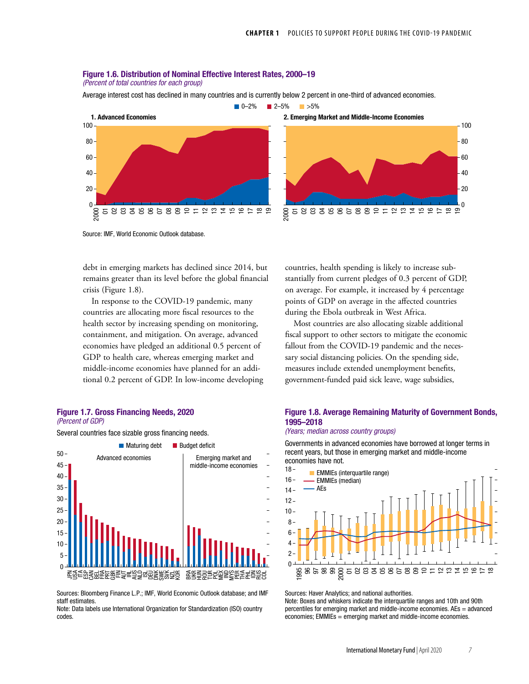# Figure 1.6. Distribution of Nominal Effective Interest Rates, 2000–19

(Percent of total countries for each group)

Average interest cost has declined in many countries and is currently below 2 percent in one-third of advanced economies.





Source: IMF, World Economic Outlook database.

debt in emerging markets has declined since 2014, but remains greater than its level before the global financial crisis (Figure 1.8).

In response to the COVID-19 pandemic, many countries are allocating more fiscal resources to the health sector by increasing spending on monitoring, containment, and mitigation. On average, advanced economies have pledged an additional 0.5 percent of GDP to health care, whereas emerging market and middle-income economies have planned for an additional 0.2 percent of GDP. In low-income developing

#### Figure 1.7. Gross Financing Needs, 2020 (Percent of GDP)

Several countries face sizable gross financing needs.



Sources: Bloomberg Finance L.P.; IMF, World Economic Outlook database; and IMF staff estimates.

Note: Data labels use International Organization for Standardization (ISO) country codes.

countries, health spending is likely to increase substantially from current pledges of 0.3 percent of GDP, on average. For example, it increased by 4 percentage points of GDP on average in the affected countries during the Ebola outbreak in West Africa.

Most countries are also allocating sizable additional fiscal support to other sectors to mitigate the economic fallout from the COVID-19 pandemic and the necessary social distancing policies. On the spending side, measures include extended unemployment benefits, government-funded paid sick leave, wage subsidies,

## Figure 1.8. Average Remaining Maturity of Government Bonds, 1995–2018

### (Years; median across country groups)

Governments in advanced economies have borrowed at longer terms in recent years, but those in emerging market and middle-income economies have not.



Sources: Haver Analytics; and national authorities.

Note: Boxes and whiskers indicate the interquartile ranges and 10th and 90th percentiles for emerging market and middle-income economies. AEs = advanced economies; EMMIEs = emerging market and middle-income economies.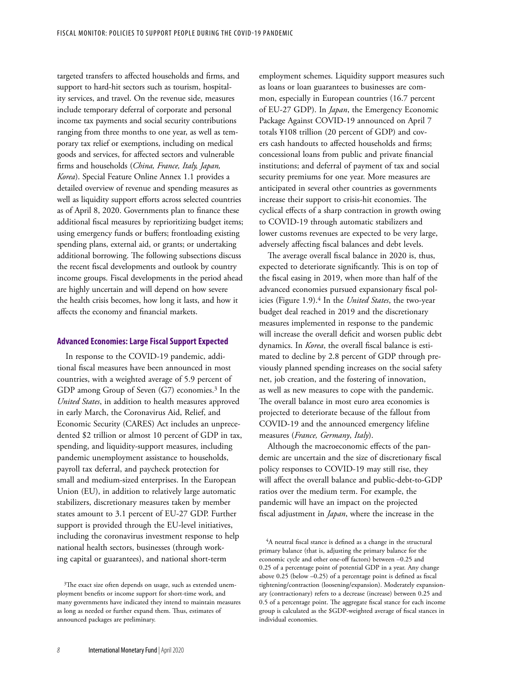targeted transfers to affected households and firms, and support to hard-hit sectors such as tourism, hospitality services, and travel. On the revenue side, measures include temporary deferral of corporate and personal income tax payments and social security contributions ranging from three months to one year, as well as temporary tax relief or exemptions, including on medical goods and services, for affected sectors and vulnerable firms and households (*China, France, Italy, Japan, Korea*). Special Feature Online Annex 1.1 provides a detailed overview of revenue and spending measures as well as liquidity support efforts across selected countries as of April 8, 2020. Governments plan to finance these additional fiscal measures by reprioritizing budget items; using emergency funds or buffers; frontloading existing spending plans, external aid, or grants; or undertaking additional borrowing. The following subsections discuss the recent fiscal developments and outlook by country income groups. Fiscal developments in the period ahead are highly uncertain and will depend on how severe the health crisis becomes, how long it lasts, and how it affects the economy and financial markets.

## **Advanced Economies: Large Fiscal Support Expected**

In response to the COVID-19 pandemic, additional fiscal measures have been announced in most countries, with a weighted average of 5.9 percent of GDP among Group of Seven (G7) economies.<sup>3</sup> In the *United States*, in addition to health measures approved in early March, the Coronavirus Aid, Relief, and Economic Security (CARES) Act includes an unprecedented \$2 trillion or almost 10 percent of GDP in tax, spending, and liquidity-support measures, including pandemic unemployment assistance to households, payroll tax deferral, and paycheck protection for small and medium-sized enterprises. In the European Union (EU), in addition to relatively large automatic stabilizers, discretionary measures taken by member states amount to 3.1 percent of EU-27 GDP. Further support is provided through the EU-level initiatives, including the coronavirus investment response to help national health sectors, businesses (through working capital or guarantees), and national short-term

employment schemes. Liquidity support measures such as loans or loan guarantees to businesses are common, especially in European countries (16.7 percent of EU-27 GDP). In *Japan*, the Emergency Economic Package Against COVID-19 announced on April 7 totals ¥108 trillion (20 percent of GDP) and covers cash handouts to affected households and firms; concessional loans from public and private financial institutions; and deferral of payment of tax and social security premiums for one year. More measures are anticipated in several other countries as governments increase their support to crisis-hit economies. The cyclical effects of a sharp contraction in growth owing to COVID-19 through automatic stabilizers and lower customs revenues are expected to be very large, adversely affecting fiscal balances and debt levels.

The average overall fiscal balance in 2020 is, thus, expected to deteriorate significantly. This is on top of the fiscal easing in 2019, when more than half of the advanced economies pursued expansionary fiscal policies (Figure 1.9).4 In the *United States*, the two-year budget deal reached in 2019 and the discretionary measures implemented in response to the pandemic will increase the overall deficit and worsen public debt dynamics. In *Korea*, the overall fiscal balance is estimated to decline by 2.8 percent of GDP through previously planned spending increases on the social safety net, job creation, and the fostering of innovation, as well as new measures to cope with the pandemic. The overall balance in most euro area economies is projected to deteriorate because of the fallout from COVID-19 and the announced emergency lifeline measures (*France, Germany*, *Italy*).

Although the macroeconomic effects of the pandemic are uncertain and the size of discretionary fiscal policy responses to COVID-19 may still rise, they will affect the overall balance and public-debt-to-GDP ratios over the medium term. For example, the pandemic will have an impact on the projected fiscal adjustment in *Japan*, where the increase in the

<sup>&</sup>lt;sup>3</sup>The exact size often depends on usage, such as extended unemployment benefits or income support for short-time work, and many governments have indicated they intend to maintain measures as long as needed or further expand them. Thus, estimates of announced packages are preliminary.

<sup>4</sup>A neutral fiscal stance is defined as a change in the structural primary balance (that is, adjusting the primary balance for the economic cycle and other one-off factors) between –0.25 and 0.25 of a percentage point of potential GDP in a year. Any change above 0.25 (below –0.25) of a percentage point is defined as fiscal tightening/contraction (loosening/expansion). Moderately expansionary (contractionary) refers to a decrease (increase) between 0.25 and 0.5 of a percentage point. The aggregate fiscal stance for each income group is calculated as the \$GDP-weighted average of fiscal stances in individual economies.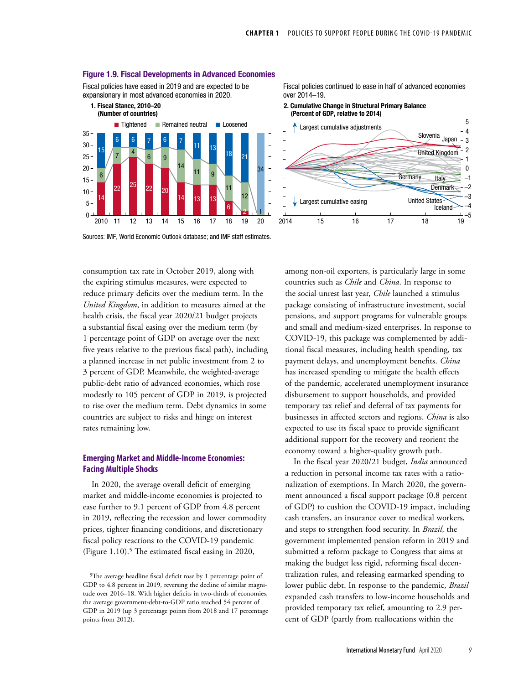

#### Figure 1.9. Fiscal Developments in Advanced Economies

Fiscal policies have eased in 2019 and are expected to be expansionary in most advanced economies in 2020.

Fiscal policies continued to ease in half of advanced economies over 2014–19.

2. Cumulative Change in Structural Primary Balance (Percent of GDP, relative to 2014)



Sources: IMF, World Economic Outlook database; and IMF staff estimates.

consumption tax rate in October 2019, along with the expiring stimulus measures, were expected to reduce primary deficits over the medium term. In the *United Kingdom*, in addition to measures aimed at the health crisis, the fiscal year 2020/21 budget projects a substantial fiscal easing over the medium term (by 1 percentage point of GDP on average over the next five years relative to the previous fiscal path), including a planned increase in net public investment from 2 to 3 percent of GDP. Meanwhile, the weighted-average public-debt ratio of advanced economies, which rose modestly to 105 percent of GDP in 2019, is projected to rise over the medium term. Debt dynamics in some countries are subject to risks and hinge on interest rates remaining low.

## **Emerging Market and Middle-Income Economies: Facing Multiple Shocks**

In 2020, the average overall deficit of emerging market and middle-income economies is projected to ease further to 9.1 percent of GDP from 4.8 percent in 2019, reflecting the recession and lower commodity prices, tighter financing conditions, and discretionary fiscal policy reactions to the COVID-19 pandemic (Figure  $1.10$ ).<sup>5</sup> The estimated fiscal easing in 2020,

among non-oil exporters, is particularly large in some countries such as *Chile* and *China*. In response to the social unrest last year, *Chile* launched a stimulus package consisting of infrastructure investment, social pensions, and support programs for vulnerable groups and small and medium-sized enterprises. In response to COVID-19, this package was complemented by additional fiscal measures, including health spending, tax payment delays, and unemployment benefits. *China* has increased spending to mitigate the health effects of the pandemic, accelerated unemployment insurance disbursement to support households, and provided temporary tax relief and deferral of tax payments for businesses in affected sectors and regions. *China* is also expected to use its fiscal space to provide significant additional support for the recovery and reorient the economy toward a higher-quality growth path.

In the fiscal year 2020/21 budget, *India* announced a reduction in personal income tax rates with a rationalization of exemptions. In March 2020, the government announced a fiscal support package (0.8 percent of GDP) to cushion the COVID-19 impact, including cash transfers, an insurance cover to medical workers, and steps to strengthen food security. In *Brazil*, the government implemented pension reform in 2019 and submitted a reform package to Congress that aims at making the budget less rigid, reforming fiscal decentralization rules, and releasing earmarked spending to lower public debt. In response to the pandemic, *Brazil* expanded cash transfers to low-income households and provided temporary tax relief, amounting to 2.9 percent of GDP (partly from reallocations within the

<sup>5</sup>The average headline fiscal deficit rose by 1 percentage point of GDP to 4.8 percent in 2019, reversing the decline of similar magnitude over 2016–18. With higher deficits in two-thirds of economies, the average government-debt-to-GDP ratio reached 54 percent of GDP in 2019 (up 3 percentage points from 2018 and 17 percentage points from 2012).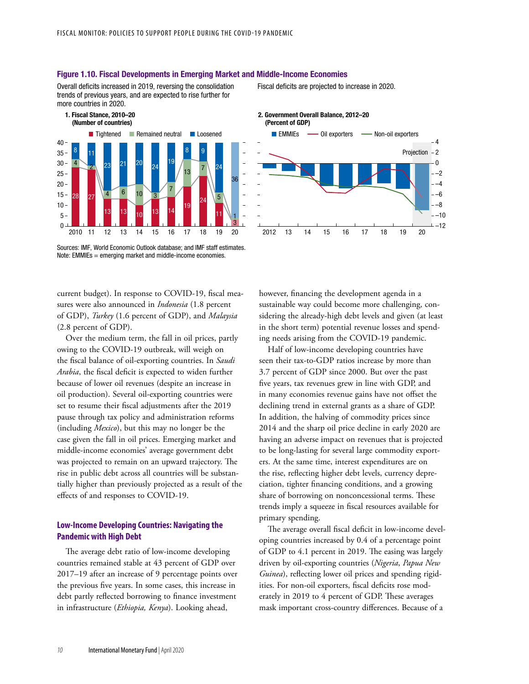

#### Figure 1.10. Fiscal Developments in Emerging Market and Middle-Income Economies

Overall deficits increased in 2019, reversing the consolidation trends of previous years, and are expected to rise further for more countries in 2020.



current budget). In response to COVID-19, fiscal measures were also announced in *Indonesia* (1.8 percent of GDP), *Turkey* (1.6 percent of GDP), and *Malaysia* (2.8 percent of GDP).

Over the medium term, the fall in oil prices, partly owing to the COVID-19 outbreak, will weigh on the fiscal balance of oil-exporting countries. In *Saudi Arabia*, the fiscal deficit is expected to widen further because of lower oil revenues (despite an increase in oil production). Several oil-exporting countries were set to resume their fiscal adjustments after the 2019 pause through tax policy and administration reforms (including *Mexico*), but this may no longer be the case given the fall in oil prices. Emerging market and middle-income economies' average government debt was projected to remain on an upward trajectory. The rise in public debt across all countries will be substantially higher than previously projected as a result of the effects of and responses to COVID-19.

## **Low-Income Developing Countries: Navigating the Pandemic with High Debt**

The average debt ratio of low-income developing countries remained stable at 43 percent of GDP over 2017–19 after an increase of 9 percentage points over the previous five years. In some cases, this increase in debt partly reflected borrowing to finance investment in infrastructure (*Ethiopia, Kenya*). Looking ahead,

Fiscal deficits are projected to increase in 2020.



2. Government Overall Balance, 2012–20

however, financing the development agenda in a sustainable way could become more challenging, considering the already-high debt levels and given (at least in the short term) potential revenue losses and spending needs arising from the COVID-19 pandemic.

Half of low-income developing countries have seen their tax-to-GDP ratios increase by more than 3.7 percent of GDP since 2000. But over the past five years, tax revenues grew in line with GDP, and in many economies revenue gains have not offset the declining trend in external grants as a share of GDP. In addition, the halving of commodity prices since 2014 and the sharp oil price decline in early 2020 are having an adverse impact on revenues that is projected to be long-lasting for several large commodity exporters. At the same time, interest expenditures are on the rise, reflecting higher debt levels, currency depreciation, tighter financing conditions, and a growing share of borrowing on nonconcessional terms. These trends imply a squeeze in fiscal resources available for primary spending.

The average overall fiscal deficit in low-income developing countries increased by 0.4 of a percentage point of GDP to 4.1 percent in 2019. The easing was largely driven by oil-exporting countries (*Nigeria*, *Papua New Guinea*), reflecting lower oil prices and spending rigidities. For non-oil exporters, fiscal deficits rose moderately in 2019 to 4 percent of GDP. These averages mask important cross-country differences. Because of a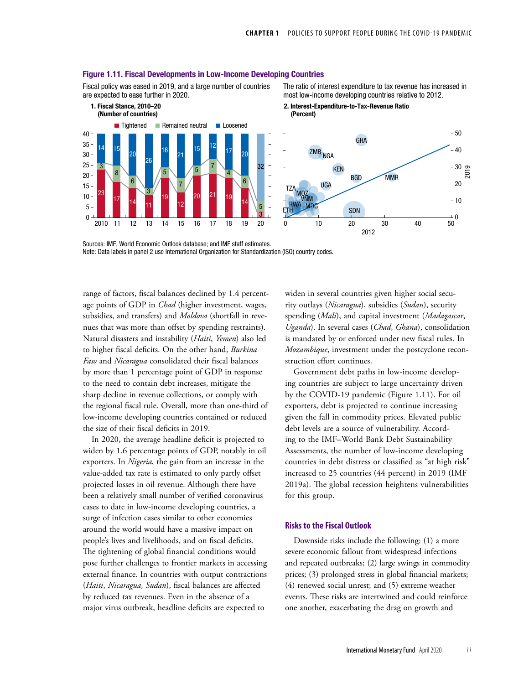

#### Figure 1.11. Fiscal Developments in Low-Income Developing Countries

Fiscal policy was eased in 2019, and a large number of countries are expected to ease further in 2020.

The ratio of interest expenditure to tax revenue has increased in most low-income developing countries relative to 2012.

Sources: IMF, World Economic Outlook database; and IMF staff estimates.

Note: Data labels in panel 2 use International Organization for Standardization (ISO) country codes.

range of factors, fiscal balances declined by 1.4 percentage points of GDP in *Chad* (higher investment, wages, subsidies, and transfers) and *Moldova* (shortfall in revenues that was more than offset by spending restraints). Natural disasters and instability (*Haiti*, *Yemen*) also led to higher fiscal deficits. On the other hand, *Burkina Faso* and *Nicaragua* consolidated their fiscal balances by more than 1 percentage point of GDP in response to the need to contain debt increases, mitigate the sharp decline in revenue collections, or comply with the regional fiscal rule. Overall, more than one-third of low-income developing countries contained or reduced the size of their fiscal deficits in 2019.

In 2020, the average headline deficit is projected to widen by 1.6 percentage points of GDP, notably in oil exporters. In *Nigeria*, the gain from an increase in the value-added tax rate is estimated to only partly offset projected losses in oil revenue. Although there have been a relatively small number of verified coronavirus cases to date in low-income developing countries, a surge of infection cases similar to other economies around the world would have a massive impact on people's lives and livelihoods, and on fiscal deficits. The tightening of global financial conditions would pose further challenges to frontier markets in accessing external finance. In countries with output contractions (*Haiti*, *Nicaragua, Sudan*), fiscal balances are affected by reduced tax revenues. Even in the absence of a major virus outbreak, headline deficits are expected to

widen in several countries given higher social security outlays (*Nicaragua*), subsidies (*Sudan*), security spending (*Mali*), and capital investment (*Madagascar*, *Uganda*). In several cases (*Chad*, *Ghana*), consolidation is mandated by or enforced under new fiscal rules. In *Mozambique*, investment under the postcyclone reconstruction effort continues.

Government debt paths in low-income developing countries are subject to large uncertainty driven by the COVID-19 pandemic (Figure 1.11). For oil exporters, debt is projected to continue increasing given the fall in commodity prices. Elevated public debt levels are a source of vulnerability. According to the IMF–World Bank Debt Sustainability Assessments, the number of low-income developing countries in debt distress or classified as "at high risk" increased to 25 countries (44 percent) in 2019 (IMF 2019a). The global recession heightens vulnerabilities for this group.

## **Risks to the Fiscal Outlook**

Downside risks include the following: (1) a more severe economic fallout from widespread infections and repeated outbreaks; (2) large swings in commodity prices; (3) prolonged stress in global financial markets; (4) renewed social unrest; and (5) extreme weather events. These risks are intertwined and could reinforce one another, exacerbating the drag on growth and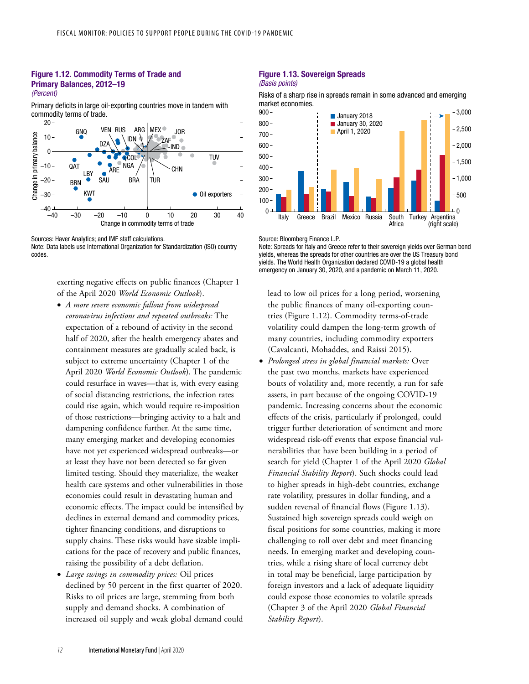### Figure 1.12. Commodity Terms of Trade and Primary Balances, 2012–19 (Percent)

Primary deficits in large oil-exporting countries move in tandem with commodity terms of trade.



Sources: Haver Analytics; and IMF staff calculations.

Note: Data labels use International Organization for Standardization (ISO) country codes.

> exerting negative effects on public finances (Chapter 1 of the April 2020 *World Economic Outlook*).

- *A more severe economic fallout from widespread coronavirus infections and repeated outbreaks:* The expectation of a rebound of activity in the second half of 2020, after the health emergency abates and containment measures are gradually scaled back, is subject to extreme uncertainty (Chapter 1 of the April 2020 *World Economic Outlook*). The pandemic could resurface in waves—that is, with every easing of social distancing restrictions, the infection rates could rise again, which would require re-imposition of those restrictions—bringing activity to a halt and dampening confidence further. At the same time, many emerging market and developing economies have not yet experienced widespread outbreaks—or at least they have not been detected so far given limited testing. Should they materialize, the weaker health care systems and other vulnerabilities in those economies could result in devastating human and economic effects. The impact could be intensified by declines in external demand and commodity prices, tighter financing conditions, and disruptions to supply chains. These risks would have sizable implications for the pace of recovery and public finances, raising the possibility of a debt deflation.
- *Large swings in commodity prices:* Oil prices declined by 50 percent in the first quarter of 2020. Risks to oil prices are large, stemming from both supply and demand shocks. A combination of increased oil supply and weak global demand could

### Figure 1.13. Sovereign Spreads (Basis points)

Risks of a sharp rise in spreads remain in some advanced and emerging market economies.



Source: Bloomberg Finance L.P.

Note: Spreads for Italy and Greece refer to their sovereign yields over German bond yields, whereas the spreads for other countries are over the US Treasury bond yields. The World Health Organization declared COVID-19 a global health emergency on January 30, 2020, and a pandemic on March 11, 2020.

lead to low oil prices for a long period, worsening the public finances of many oil-exporting countries (Figure 1.12). Commodity terms-of-trade volatility could dampen the long-term growth of many countries, including commodity exporters (Cavalcanti, Mohaddes, and Raissi 2015).

• *Prolonged stress in global financial markets:* Over the past two months, markets have experienced bouts of volatility and, more recently, a run for safe assets, in part because of the ongoing COVID-19 pandemic. Increasing concerns about the economic effects of the crisis, particularly if prolonged, could trigger further deterioration of sentiment and more widespread risk-off events that expose financial vulnerabilities that have been building in a period of search for yield (Chapter 1 of the April 2020 *Global Financial Stability Report*). Such shocks could lead to higher spreads in high-debt countries, exchange rate volatility, pressures in dollar funding, and a sudden reversal of financial flows (Figure 1.13). Sustained high sovereign spreads could weigh on fiscal positions for some countries, making it more challenging to roll over debt and meet financing needs. In emerging market and developing countries, while a rising share of local currency debt in total may be beneficial, large participation by foreign investors and a lack of adequate liquidity could expose those economies to volatile spreads (Chapter 3 of the April 2020 *Global Financial Stability Report*).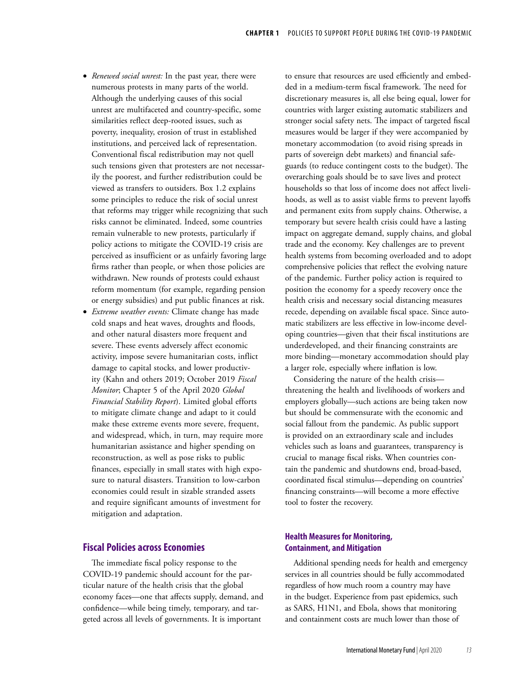- *Renewed social unrest:* In the past year, there were numerous protests in many parts of the world. Although the underlying causes of this social unrest are multifaceted and country-specific, some similarities reflect deep-rooted issues, such as poverty, inequality, erosion of trust in established institutions, and perceived lack of representation. Conventional fiscal redistribution may not quell such tensions given that protesters are not necessarily the poorest, and further redistribution could be viewed as transfers to outsiders. Box 1.2 explains some principles to reduce the risk of social unrest that reforms may trigger while recognizing that such risks cannot be eliminated. Indeed, some countries remain vulnerable to new protests, particularly if policy actions to mitigate the COVID-19 crisis are perceived as insufficient or as unfairly favoring large firms rather than people, or when those policies are withdrawn. New rounds of protests could exhaust reform momentum (for example, regarding pension or energy subsidies) and put public finances at risk.
- *Extreme weather events:* Climate change has made cold snaps and heat waves, droughts and floods, and other natural disasters more frequent and severe. These events adversely affect economic activity, impose severe humanitarian costs, inflict damage to capital stocks, and lower productivity (Kahn and others 2019; October 2019 *Fiscal Monitor*; Chapter 5 of the April 2020 *Global Financial Stability Report*). Limited global efforts to mitigate climate change and adapt to it could make these extreme events more severe, frequent, and widespread, which, in turn, may require more humanitarian assistance and higher spending on reconstruction, as well as pose risks to public finances, especially in small states with high exposure to natural disasters. Transition to low-carbon economies could result in sizable stranded assets and require significant amounts of investment for mitigation and adaptation.

## **Fiscal Policies across Economies**

The immediate fiscal policy response to the COVID-19 pandemic should account for the particular nature of the health crisis that the global economy faces—one that affects supply, demand, and confidence—while being timely, temporary, and targeted across all levels of governments. It is important

to ensure that resources are used efficiently and embedded in a medium-term fiscal framework. The need for discretionary measures is, all else being equal, lower for countries with larger existing automatic stabilizers and stronger social safety nets. The impact of targeted fiscal measures would be larger if they were accompanied by monetary accommodation (to avoid rising spreads in parts of sovereign debt markets) and financial safeguards (to reduce contingent costs to the budget). The overarching goals should be to save lives and protect households so that loss of income does not affect livelihoods, as well as to assist viable firms to prevent layoffs and permanent exits from supply chains. Otherwise, a temporary but severe health crisis could have a lasting impact on aggregate demand, supply chains, and global trade and the economy. Key challenges are to prevent health systems from becoming overloaded and to adopt comprehensive policies that reflect the evolving nature of the pandemic. Further policy action is required to position the economy for a speedy recovery once the health crisis and necessary social distancing measures recede, depending on available fiscal space. Since automatic stabilizers are less effective in low-income developing countries—given that their fiscal institutions are underdeveloped, and their financing constraints are more binding—monetary accommodation should play a larger role, especially where inflation is low.

Considering the nature of the health crisis threatening the health and livelihoods of workers and employers globally—such actions are being taken now but should be commensurate with the economic and social fallout from the pandemic. As public support is provided on an extraordinary scale and includes vehicles such as loans and guarantees, transparency is crucial to manage fiscal risks. When countries contain the pandemic and shutdowns end, broad-based, coordinated fiscal stimulus—depending on countries' financing constraints—will become a more effective tool to foster the recovery.

## **Health Measures for Monitoring, Containment, and Mitigation**

Additional spending needs for health and emergency services in all countries should be fully accommodated regardless of how much room a country may have in the budget. Experience from past epidemics, such as SARS, H1N1, and Ebola, shows that monitoring and containment costs are much lower than those of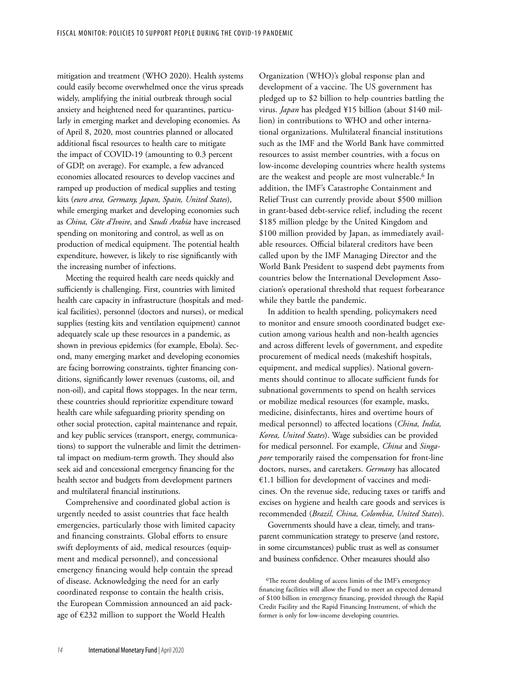mitigation and treatment (WHO 2020). Health systems could easily become overwhelmed once the virus spreads widely, amplifying the initial outbreak through social anxiety and heightened need for quarantines, particularly in emerging market and developing economies. As of April 8, 2020, most countries planned or allocated additional fiscal resources to health care to mitigate the impact of COVID-19 (amounting to 0.3 percent of GDP, on average). For example, a few advanced economies allocated resources to develop vaccines and ramped up production of medical supplies and testing kits (*euro area, Germany, Japan, Spain, United States*), while emerging market and developing economies such as *China, Côte d'Ivoire*, and *Saudi Arabia* have increased spending on monitoring and control, as well as on production of medical equipment. The potential health expenditure, however, is likely to rise significantly with the increasing number of infections.

Meeting the required health care needs quickly and sufficiently is challenging. First, countries with limited health care capacity in infrastructure (hospitals and medical facilities), personnel (doctors and nurses), or medical supplies (testing kits and ventilation equipment) cannot adequately scale up these resources in a pandemic, as shown in previous epidemics (for example, Ebola). Second, many emerging market and developing economies are facing borrowing constraints, tighter financing conditions, significantly lower revenues (customs, oil, and non-oil), and capital flows stoppages. In the near term, these countries should reprioritize expenditure toward health care while safeguarding priority spending on other social protection, capital maintenance and repair, and key public services (transport, energy, communications) to support the vulnerable and limit the detrimental impact on medium-term growth. They should also seek aid and concessional emergency financing for the health sector and budgets from development partners and multilateral financial institutions.

Comprehensive and coordinated global action is urgently needed to assist countries that face health emergencies, particularly those with limited capacity and financing constraints. Global efforts to ensure swift deployments of aid, medical resources (equipment and medical personnel), and concessional emergency financing would help contain the spread of disease. Acknowledging the need for an early coordinated response to contain the health crisis, the European Commission announced an aid package of €232 million to support the World Health

Organization (WHO)'s global response plan and development of a vaccine. The US government has pledged up to \$2 billion to help countries battling the virus. *Japan* has pledged ¥15 billion (about \$140 million) in contributions to WHO and other international organizations. Multilateral financial institutions such as the IMF and the World Bank have committed resources to assist member countries, with a focus on low-income developing countries where health systems are the weakest and people are most vulnerable.<sup>6</sup> In addition, the IMF's Catastrophe Containment and Relief Trust can currently provide about \$500 million in grant-based debt-service relief, including the recent \$185 million pledge by the United Kingdom and \$100 million provided by Japan, as immediately available resources. Official bilateral creditors have been called upon by the IMF Managing Director and the World Bank President to suspend debt payments from countries below the International Development Association's operational threshold that request forbearance while they battle the pandemic.

In addition to health spending, policymakers need to monitor and ensure smooth coordinated budget execution among various health and non-health agencies and across different levels of government, and expedite procurement of medical needs (makeshift hospitals, equipment, and medical supplies). National governments should continue to allocate sufficient funds for subnational governments to spend on health services or mobilize medical resources (for example, masks, medicine, disinfectants, hires and overtime hours of medical personnel) to affected locations (*China, India, Korea, United States*). Wage subsidies can be provided for medical personnel. For example, *China* and *Singapore* temporarily raised the compensation for front-line doctors, nurses, and caretakers. *Germany* has allocated €1.1 billion for development of vaccines and medicines. On the revenue side, reducing taxes or tariffs and excises on hygiene and health care goods and services is recommended (*Brazil, China, Colombia, United States*).

Governments should have a clear, timely, and transparent communication strategy to preserve (and restore, in some circumstances) public trust as well as consumer and business confidence. Other measures should also

<sup>6</sup>The recent doubling of access limits of the IMF's emergency financing facilities will allow the Fund to meet an expected demand of \$100 billion in emergency financing, provided through the [Rapid](https://www.imf.org/en/About/Factsheets/Sheets/2016/08/02/21/08/Rapid-Credit-Facility)  [Credit Facility](https://www.imf.org/en/About/Factsheets/Sheets/2016/08/02/21/08/Rapid-Credit-Facility) and the [Rapid Financing Instrument](https://www.imf.org/en/About/Factsheets/Sheets/2016/08/02/19/55/Rapid-Financing-Instrument), of which the former is only for low-income developing countries.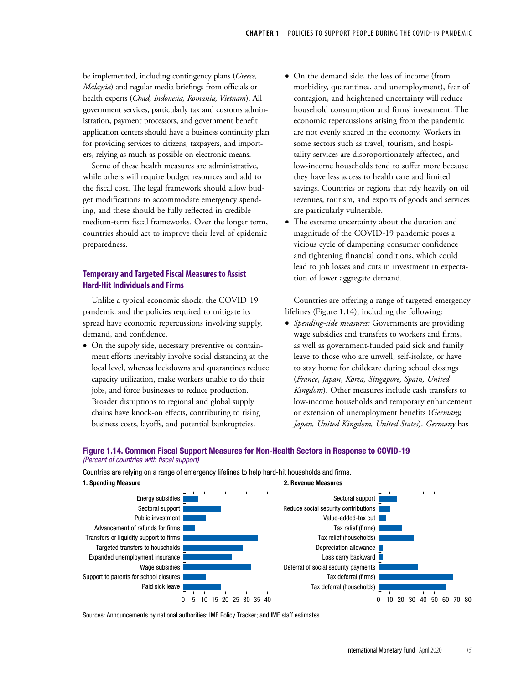be implemented, including contingency plans (*Greece, Malaysia*) and regular media briefings from officials or health experts (*Chad, Indonesia, Romania, Vietnam*). All government services, particularly tax and customs administration, payment processors, and government benefit application centers should have a business continuity plan for providing services to citizens, taxpayers, and importers, relying as much as possible on electronic means.

Some of these health measures are administrative, while others will require budget resources and add to the fiscal cost. The legal framework should allow budget modifications to accommodate emergency spending, and these should be fully reflected in credible medium-term fiscal frameworks. Over the longer term, countries should act to improve their level of epidemic preparedness.

## **Temporary and Targeted Fiscal Measures to Assist Hard-Hit Individuals and Firms**

Unlike a typical economic shock, the COVID-19 pandemic and the policies required to mitigate its spread have economic repercussions involving supply, demand, and confidence.

• On the supply side, necessary preventive or containment efforts inevitably involve social distancing at the local level, whereas lockdowns and quarantines reduce capacity utilization, make workers unable to do their jobs, and force businesses to reduce production. Broader disruptions to regional and global supply chains have knock-on effects, contributing to rising business costs, layoffs, and potential bankruptcies.

- On the demand side, the loss of income (from morbidity, quarantines, and unemployment), fear of contagion, and heightened uncertainty will reduce household consumption and firms' investment. The economic repercussions arising from the pandemic are not evenly shared in the economy. Workers in some sectors such as travel, tourism, and hospitality services are disproportionately affected, and low-income households tend to suffer more because they have less access to health care and limited savings. Countries or regions that rely heavily on oil revenues, tourism, and exports of goods and services are particularly vulnerable.
- The extreme uncertainty about the duration and magnitude of the COVID-19 pandemic poses a vicious cycle of dampening consumer confidence and tightening financial conditions, which could lead to job losses and cuts in investment in expectation of lower aggregate demand.

Countries are offering a range of targeted emergency lifelines (Figure 1.14), including the following:

• *Spending-side measures:* Governments are providing wage subsidies and transfers to workers and firms, as well as government-funded paid sick and family leave to those who are unwell, self-isolate, or have to stay home for childcare during school closings (*France*, *Japan*, *Korea, Singapore, Spain, United Kingdom*). Other measures include cash transfers to low-income households and temporary enhancement or extension of unemployment benefits (*Germany, Japan, United Kingdom, United States*). *Germany* has

### Figure 1.14. Common Fiscal Support Measures for Non-Health Sectors in Response to COVID-19 (Percent of countries with fiscal support)

Countries are relying on a range of emergency lifelines to help hard-hit households and firms.



Sources: Announcements by national authorities; IMF Policy Tracker; and IMF staff estimates.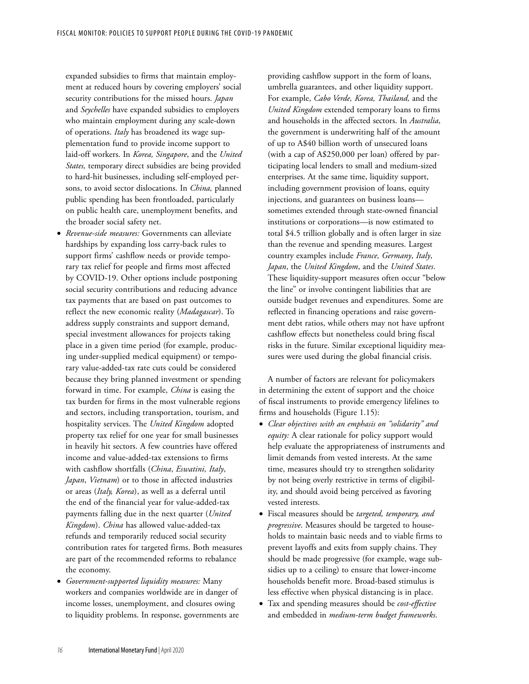expanded subsidies to firms that maintain employment at reduced hours by covering employers' social security contributions for the missed hours. *Japan* and *Seychelles* have expanded subsidies to employers who maintain employment during any scale-down of operations. *Italy* has broadened its wage supplementation fund to provide income support to laid-off workers. In *Korea, Singapore*, and the *United States,* temporary direct subsidies are being provided to hard-hit businesses, including self-employed persons, to avoid sector dislocations. In *China,* planned public spending has been frontloaded, particularly on public health care, unemployment benefits, and the broader social safety net.

- *Revenue-side measures:* Governments can alleviate hardships by expanding loss carry-back rules to support firms' cashflow needs or provide temporary tax relief for people and firms most affected by COVID-19. Other options include postponing social security contributions and reducing advance tax payments that are based on past outcomes to reflect the new economic reality (*Madagascar*). To address supply constraints and support demand, special investment allowances for projects taking place in a given time period (for example, producing under-supplied medical equipment) or temporary value-added-tax rate cuts could be considered because they bring planned investment or spending forward in time. For example, *China* is easing the tax burden for firms in the most vulnerable regions and sectors, including transportation, tourism, and hospitality services. The *United Kingdom* adopted property tax relief for one year for small businesses in heavily hit sectors. A few countries have offered income and value-added-tax extensions to firms with cashflow shortfalls (*China*, *Eswatini, Italy*, *Japan*, *Vietnam*) or to those in affected industries or areas (*Italy, Korea*), as well as a deferral until the end of the financial year for value-added-tax payments falling due in the next quarter (*United Kingdom*). *China* has allowed value-added-tax refunds and temporarily reduced social security contribution rates for targeted firms. Both measures are part of the recommended reforms to rebalance the economy.
- *Government-supported liquidity measures:* Many workers and companies worldwide are in danger of income losses, unemployment, and closures owing to liquidity problems. In response, governments are

providing cashflow support in the form of loans, umbrella guarantees, and other liquidity support. For example, *Cabo Verde, Korea, Thailand,* and the *United Kingdom* extended temporary loans to firms and households in the affected sectors. In *Australia*, the government is underwriting half of the amount of up to A\$40 billion worth of unsecured loans (with a cap of A\$250,000 per loan) offered by participating local lenders to small and medium-sized enterprises. At the same time, liquidity support, including government provision of loans, equity injections, and guarantees on business loans sometimes extended through state-owned financial institutions or corporations—is now estimated to total \$4.5 trillion globally and is often larger in size than the revenue and spending measures. Largest country examples include *France, Germany*, *Italy*, *Japan*, the *United Kingdom*, and the *United States*. These liquidity-support measures often occur "below the line" or involve contingent liabilities that are outside budget revenues and expenditures. Some are reflected in financing operations and raise government debt ratios, while others may not have upfront cashflow effects but nonetheless could bring fiscal risks in the future. Similar exceptional liquidity measures were used during the global financial crisis.

A number of factors are relevant for policymakers in determining the extent of support and the choice of fiscal instruments to provide emergency lifelines to firms and households (Figure 1.15):

- *Clear objectives with an emphasis on "solidarity" and equity:* A clear rationale for policy support would help evaluate the appropriateness of instruments and limit demands from vested interests. At the same time, measures should try to strengthen solidarity by not being overly restrictive in terms of eligibility, and should avoid being perceived as favoring vested interests.
- Fiscal measures should be *targeted, temporary, and progressive*. Measures should be targeted to households to maintain basic needs and to viable firms to prevent layoffs and exits from supply chains. They should be made progressive (for example, wage subsidies up to a ceiling) to ensure that lower-income households benefit more. Broad-based stimulus is less effective when physical distancing is in place.
- Tax and spending measures should be *cost-effective* and embedded in *medium-term budget frameworks*.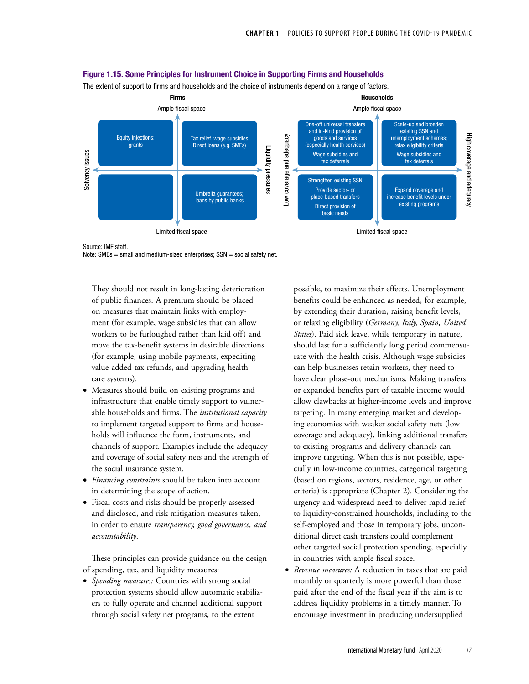

Figure 1.15. Some Principles for Instrument Choice in Supporting Firms and Households

The extent of support to firms and households and the choice of instruments depend on a range of factors.

Source: IMF staff.

Note:  $SMEs = small$  and medium-sized enterprises;  $SSN = social$  safety net.

They should not result in long-lasting deterioration of public finances. A premium should be placed on measures that maintain links with employment (for example, wage subsidies that can allow workers to be furloughed rather than laid off) and move the tax-benefit systems in desirable directions (for example, using mobile payments, expediting value-added-tax refunds, and upgrading health care systems).

- Measures should build on existing programs and infrastructure that enable timely support to vulnerable households and firms. The *institutional capacity* to implement targeted support to firms and households will influence the form, instruments, and channels of support. Examples include the adequacy and coverage of social safety nets and the strength of the social insurance system.
- *Financing constraints* should be taken into account in determining the scope of action.
- Fiscal costs and risks should be properly assessed and disclosed, and risk mitigation measures taken, in order to ensure *transparency, good governance, and accountability*.

These principles can provide guidance on the design of spending, tax, and liquidity measures:

• *Spending measures:* Countries with strong social protection systems should allow automatic stabilizers to fully operate and channel additional support through social safety net programs, to the extent

possible, to maximize their effects. Unemployment benefits could be enhanced as needed, for example, by extending their duration, raising benefit levels, or relaxing eligibility (*Germany, Italy, Spain, United States*). Paid sick leave, while temporary in nature, should last for a sufficiently long period commensurate with the health crisis. Although wage subsidies can help businesses retain workers, they need to have clear phase-out mechanisms. Making transfers or expanded benefits part of taxable income would allow clawbacks at higher-income levels and improve targeting. In many emerging market and developing economies with weaker social safety nets (low coverage and adequacy), linking additional transfers to existing programs and delivery channels can improve targeting. When this is not possible, especially in low-income countries, categorical targeting (based on regions, sectors, residence, age, or other criteria) is appropriate (Chapter 2). Considering the urgency and widespread need to deliver rapid relief to liquidity-constrained households, including to the self-employed and those in temporary jobs, unconditional direct cash transfers could complement other targeted social protection spending, especially in countries with ample fiscal space.

• *Revenue measures:* A reduction in taxes that are paid monthly or quarterly is more powerful than those paid after the end of the fiscal year if the aim is to address liquidity problems in a timely manner. To encourage investment in producing undersupplied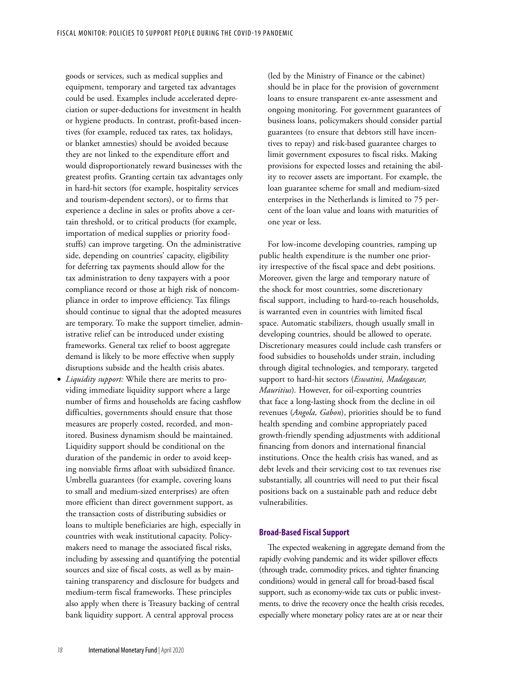goods or services, such as medical supplies and equipment, temporary and targeted tax advantages could be used. Examples include accelerated depreciation or super-deductions for investment in health or hygiene products. In contrast, profit-based incentives (for example, reduced tax rates, tax holidays, or blanket amnesties) should be avoided because they are not linked to the expenditure effort and would disproportionately reward businesses with the greatest profits. Granting certain tax advantages only in hard-hit sectors (for example, hospitality services and tourism-dependent sectors), or to firms that experience a decline in sales or profits above a certain threshold, or to critical products (for example, importation of medical supplies or priority foodstuffs) can improve targeting. On the administrative side, depending on countries' capacity, eligibility for deferring tax payments should allow for the tax administration to deny taxpayers with a poor compliance record or those at high risk of noncompliance in order to improve efficiency. Tax filings should continue to signal that the adopted measures are temporary. To make the support timelier, administrative relief can be introduced under existing frameworks. General tax relief to boost aggregate demand is likely to be more effective when supply disruptions subside and the health crisis abates.

• *Liquidity support:* While there are merits to providing immediate liquidity support where a large number of firms and households are facing cashflow difficulties, governments should ensure that those measures are properly costed, recorded, and monitored. Business dynamism should be maintained. Liquidity support should be conditional on the duration of the pandemic in order to avoid keeping nonviable firms afloat with subsidized finance. Umbrella guarantees (for example, covering loans to small and medium-sized enterprises) are often more efficient than direct government support, as the transaction costs of distributing subsidies or loans to multiple beneficiaries are high, especially in countries with weak institutional capacity. Policymakers need to manage the associated fiscal risks, including by assessing and quantifying the potential sources and size of fiscal costs, as well as by maintaining transparency and disclosure for budgets and medium-term fiscal frameworks. These principles also apply when there is Treasury backing of central bank liquidity support. A central approval process

(led by the Ministry of Finance or the cabinet) should be in place for the provision of government loans to ensure transparent ex-ante assessment and ongoing monitoring. For government guarantees of business loans, policymakers should consider partial guarantees (to ensure that debtors still have incentives to repay) and risk-based guarantee charges to limit government exposures to fiscal risks. Making provisions for expected losses and retaining the ability to recover assets are important. For example, the loan guarantee scheme for small and medium-sized enterprises in the Netherlands is limited to 75 percent of the loan value and loans with maturities of one year or less.

For low-income developing countries, ramping up public health expenditure is the number one priority irrespective of the fiscal space and debt positions. Moreover, given the large and temporary nature of the shock for most countries, some discretionary fiscal support, including to hard-to-reach households, is warranted even in countries with limited fiscal space. Automatic stabilizers, though usually small in developing countries, should be allowed to operate. Discretionary measures could include cash transfers or food subsidies to households under strain, including through digital technologies, and temporary, targeted support to hard-hit sectors (*Eswatini, Madagascar, Mauritius*)*.* However, for oil-exporting countries that face a long-lasting shock from the decline in oil revenues (*Angola, Gabon*), priorities should be to fund health spending and combine appropriately paced growth-friendly spending adjustments with additional financing from donors and international financial institutions. Once the health crisis has waned, and as debt levels and their servicing cost to tax revenues rise substantially, all countries will need to put their fiscal positions back on a sustainable path and reduce debt vulnerabilities.

### **Broad-Based Fiscal Support**

The expected weakening in aggregate demand from the rapidly evolving pandemic and its wider spillover effects (through trade, commodity prices, and tighter financing conditions) would in general call for broad-based fiscal support, such as economy-wide tax cuts or public investments, to drive the recovery once the health crisis recedes, especially where monetary policy rates are at or near their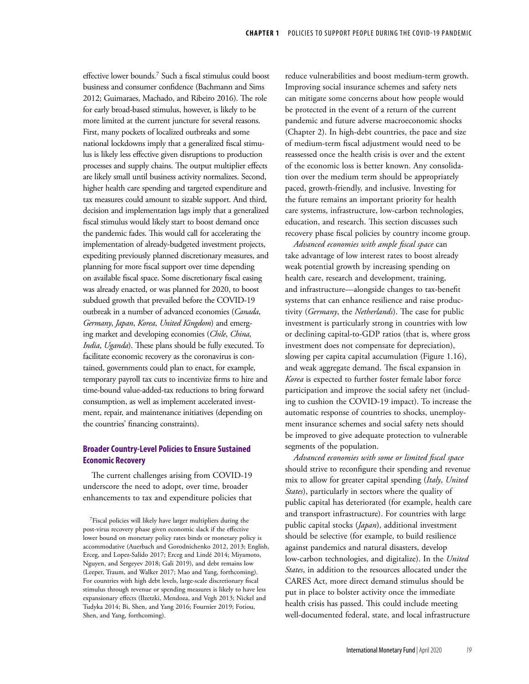effective lower bounds.7 Such a fiscal stimulus could boost business and consumer confidence (Bachmann and Sims 2012; Guimaraes, Machado, and Ribeiro 2016). The role for early broad-based stimulus, however, is likely to be more limited at the current juncture for several reasons. First, many pockets of localized outbreaks and some national lockdowns imply that a generalized fiscal stimulus is likely less effective given disruptions to production processes and supply chains. The output multiplier effects are likely small until business activity normalizes. Second, higher health care spending and targeted expenditure and tax measures could amount to sizable support. And third, decision and implementation lags imply that a generalized fiscal stimulus would likely start to boost demand once the pandemic fades. This would call for accelerating the implementation of already-budgeted investment projects, expediting previously planned discretionary measures, and planning for more fiscal support over time depending on available fiscal space. Some discretionary fiscal easing was already enacted, or was planned for 2020, to boost subdued growth that prevailed before the COVID-19 outbreak in a number of advanced economies (*Canada*, *Germany*, *Japan*, *Korea*, *United Kingdom*) and emerging market and developing economies (*Chile*, *China*, *India*, *Uganda*). These plans should be fully executed. To facilitate economic recovery as the coronavirus is contained, governments could plan to enact, for example, temporary payroll tax cuts to incentivize firms to hire and time-bound value-added-tax reductions to bring forward consumption, as well as implement accelerated investment, repair, and maintenance initiatives (depending on the countries' financing constraints).

## **Broader Country-Level Policies to Ensure Sustained Economic Recovery**

The current challenges arising from COVID-19 underscore the need to adopt, over time, broader enhancements to tax and expenditure policies that reduce vulnerabilities and boost medium-term growth. Improving social insurance schemes and safety nets can mitigate some concerns about how people would be protected in the event of a return of the current pandemic and future adverse macroeconomic shocks (Chapter 2). In high-debt countries, the pace and size of medium-term fiscal adjustment would need to be reassessed once the health crisis is over and the extent of the economic loss is better known. Any consolidation over the medium term should be appropriately paced, growth-friendly, and inclusive. Investing for the future remains an important priority for health care systems, infrastructure, low-carbon technologies, education, and research. This section discusses such recovery phase fiscal policies by country income group.

*Advanced economies with ample fiscal space* can take advantage of low interest rates to boost already weak potential growth by increasing spending on health care, research and development, training, and infrastructure—alongside changes to tax-benefit systems that can enhance resilience and raise productivity (*Germany*, the *Netherlands*). The case for public investment is particularly strong in countries with low or declining capital-to-GDP ratios (that is, where gross investment does not compensate for depreciation), slowing per capita capital accumulation (Figure 1.16), and weak aggregate demand. The fiscal expansion in *Korea* is expected to further foster female labor force participation and improve the social safety net (including to cushion the COVID-19 impact). To increase the automatic response of countries to shocks, unemployment insurance schemes and social safety nets should be improved to give adequate protection to vulnerable segments of the population.

*Advanced economies with some or limited fiscal space*  should strive to reconfigure their spending and revenue mix to allow for greater capital spending (*Italy*, *United States*), particularly in sectors where the quality of public capital has deteriorated (for example, health care and transport infrastructure). For countries with large public capital stocks (*Japan*), additional investment should be selective (for example, to build resilience against pandemics and natural disasters, develop low-carbon technologies, and digitalize). In the *United States*, in addition to the resources allocated under the CARES Act, more direct demand stimulus should be put in place to bolster activity once the immediate health crisis has passed. This could include meeting well-documented federal, state, and local infrastructure

<sup>7</sup>Fiscal policies will likely have larger multipliers during the post-virus recovery phase given economic slack if the effective lower bound on monetary policy rates binds or monetary policy is accommodative (Auerbach and Gorodnichenko 2012, 2013; English, Erceg, and Lopez-Salido 2017; Erceg and Lindé 2014; Miyamoto, Nguyen, and Sergeyev 2018; Gali 2019), and debt remains low (Leeper, Traum, and Walker 2017; Mao and Yang, forthcoming). For countries with high debt levels, large-scale discretionary fiscal stimulus through revenue or spending measures is likely to have less expansionary effects (Ilzetzki, Mendoza, and Vegh 2013; Nickel and Tudyka 2014; Bi, Shen, and Yang 2016; Fournier 2019; Fotiou, Shen, and Yang, forthcoming).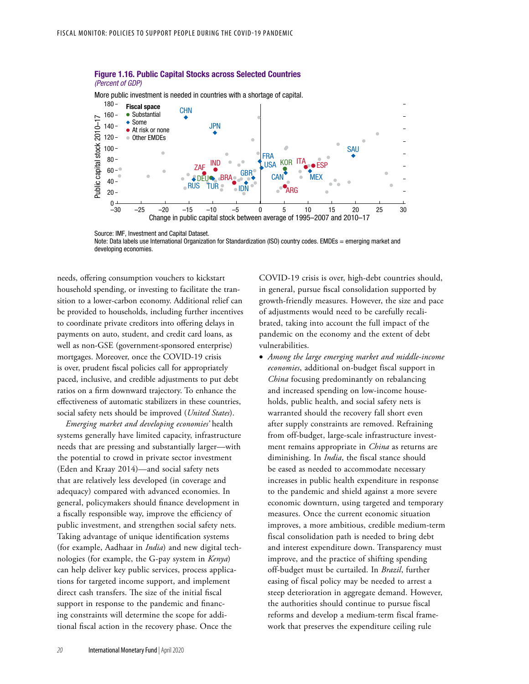

#### Figure 1.16. Public Capital Stocks across Selected Countries (Percent of GDP)

Note: Data labels use International Organization for Standardization (ISO) country codes. EMDEs = emerging market and developing economies.

needs, offering consumption vouchers to kickstart household spending, or investing to facilitate the transition to a lower-carbon economy. Additional relief can be provided to households, including further incentives to coordinate private creditors into offering delays in payments on auto, student, and credit card loans, as well as non-GSE (government-sponsored enterprise) mortgages. Moreover, once the COVID-19 crisis is over, prudent fiscal policies call for appropriately paced, inclusive, and credible adjustments to put debt ratios on a firm downward trajectory. To enhance the effectiveness of automatic stabilizers in these countries, social safety nets should be improved (*United States*).

*Emerging market and developing economies'* health systems generally have limited capacity, infrastructure needs that are pressing and substantially larger—with the potential to crowd in private sector investment (Eden and Kraay 2014)—and social safety nets that are relatively less developed (in coverage and adequacy) compared with advanced economies. In general, policymakers should finance development in a fiscally responsible way, improve the efficiency of public investment, and strengthen social safety nets. Taking advantage of unique identification systems (for example, Aadhaar in *India*) and new digital technologies (for example, the G-pay system in *Kenya*) can help deliver key public services, process applications for targeted income support, and implement direct cash transfers. The size of the initial fiscal support in response to the pandemic and financing constraints will determine the scope for additional fiscal action in the recovery phase. Once the

COVID-19 crisis is over, high-debt countries should, in general, pursue fiscal consolidation supported by growth-friendly measures. However, the size and pace of adjustments would need to be carefully recalibrated, taking into account the full impact of the pandemic on the economy and the extent of debt vulnerabilities.

• *Among the large emerging market and middle-income economies*, additional on-budget fiscal support in *China* focusing predominantly on rebalancing and increased spending on low-income households, public health, and social safety nets is warranted should the recovery fall short even after supply constraints are removed. Refraining from off-budget, large-scale infrastructure investment remains appropriate in *China* as returns are diminishing. In *India*, the fiscal stance should be eased as needed to accommodate necessary increases in public health expenditure in response to the pandemic and shield against a more severe economic downturn, using targeted and temporary measures. Once the current economic situation improves, a more ambitious, credible medium-term fiscal consolidation path is needed to bring debt and interest expenditure down. Transparency must improve, and the practice of shifting spending off-budget must be curtailed. In *Brazil*, further easing of fiscal policy may be needed to arrest a steep deterioration in aggregate demand. However, the authorities should continue to pursue fiscal reforms and develop a medium-term fiscal framework that preserves the expenditure ceiling rule

Source: IMF, Investment and Capital Dataset.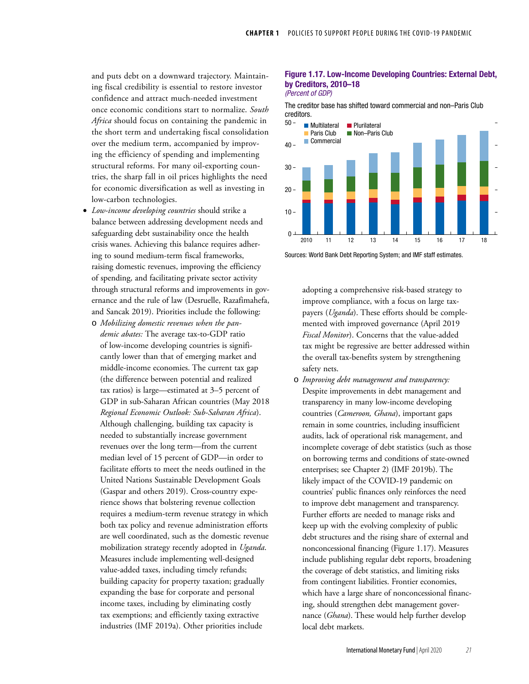and puts debt on a downward trajectory. Maintaining fiscal credibility is essential to restore investor confidence and attract much-needed investment once economic conditions start to normalize. *South Africa* should focus on containing the pandemic in the short term and undertaking fiscal consolidation over the medium term, accompanied by improving the efficiency of spending and implementing structural reforms. For many oil-exporting countries, the sharp fall in oil prices highlights the need for economic diversification as well as investing in low-carbon technologies.

- *Low-income developing countries* should strike a balance between addressing development needs and safeguarding debt sustainability once the health crisis wanes. Achieving this balance requires adhering to sound medium-term fiscal frameworks, raising domestic revenues, improving the efficiency of spending, and facilitating private sector activity through structural reforms and improvements in governance and the rule of law (Desruelle, Razafimahefa, and Sancak 2019). Priorities include the following:
	- o *Mobilizing domestic revenues when the pandemic abates:* The average tax-to-GDP ratio of low-income developing countries is significantly lower than that of emerging market and middle-income economies. The current tax gap (the difference between potential and realized tax ratios) is large—estimated at 3–5 percent of GDP in sub-Saharan African countries (May 2018 *Regional Economic Outlook: Sub-Saharan Africa*). Although challenging, building tax capacity is needed to substantially increase government revenues over the long term—from the current median level of 15 percent of GDP—in order to facilitate efforts to meet the needs outlined in the United Nations Sustainable Development Goals (Gaspar and others 2019). Cross-country experience shows that bolstering revenue collection requires a medium-term revenue strategy in which both tax policy and revenue administration efforts are well coordinated, such as the domestic revenue mobilization strategy recently adopted in *Uganda*. Measures include implementing well-designed value-added taxes, including timely refunds; building capacity for property taxation; gradually expanding the base for corporate and personal income taxes, including by eliminating costly tax exemptions; and efficiently taxing extractive industries (IMF 2019a). Other priorities include

### Figure 1.17. Low-Income Developing Countries: External Debt, by Creditors, 2010–18 (Percent of GDP)

The creditor base has shifted toward commercial and non–Paris Club creditors.



Sources: World Bank Debt Reporting System; and IMF staff estimates.

adopting a comprehensive risk-based strategy to improve compliance, with a focus on large taxpayers (*Uganda*). These efforts should be complemented with improved governance (April 2019 *Fiscal Monitor*). Concerns that the value-added tax might be regressive are better addressed within the overall tax-benefits system by strengthening safety nets.

o *Improving debt management and transparency:* Despite improvements in debt management and transparency in many low-income developing countries (*Cameroon, Ghana*), important gaps remain in some countries, including insufficient audits, lack of operational risk management, and incomplete coverage of debt statistics (such as those on borrowing terms and conditions of state-owned enterprises; see Chapter 2) (IMF 2019b). The likely impact of the COVID-19 pandemic on countries' public finances only reinforces the need to improve debt management and transparency. Further efforts are needed to manage risks and keep up with the evolving complexity of public debt structures and the rising share of external and nonconcessional financing (Figure 1.17). Measures include publishing regular debt reports, broadening the coverage of debt statistics, and limiting risks from contingent liabilities. Frontier economies, which have a large share of nonconcessional financing, should strengthen debt management governance (*Ghana*). These would help further develop local debt markets.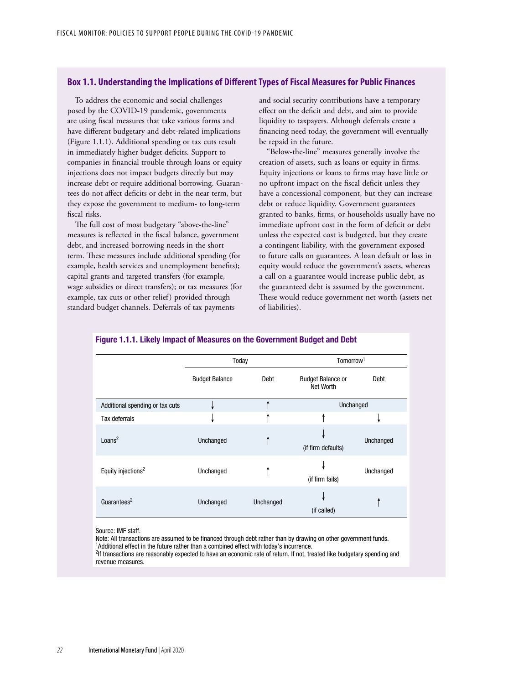### **Box 1.1. Understanding the Implications of Different Types of Fiscal Measures for Public Finances**

To address the economic and social challenges posed by the COVID-19 pandemic, governments are using fiscal measures that take various forms and have different budgetary and debt-related implications (Figure 1.1.1). Additional spending or tax cuts result in immediately higher budget deficits. Support to companies in financial trouble through loans or equity injections does not impact budgets directly but may increase debt or require additional borrowing. Guarantees do not affect deficits or debt in the near term, but they expose the government to medium- to long-term fiscal risks.

The full cost of most budgetary "above-the-line" measures is reflected in the fiscal balance, government debt, and increased borrowing needs in the short term. These measures include additional spending (for example, health services and unemployment benefits); capital grants and targeted transfers (for example, wage subsidies or direct transfers); or tax measures (for example, tax cuts or other relief) provided through standard budget channels. Deferrals of tax payments

and social security contributions have a temporary effect on the deficit and debt, and aim to provide liquidity to taxpayers. Although deferrals create a financing need today, the government will eventually be repaid in the future.

"Below-the-line" measures generally involve the creation of assets, such as loans or equity in firms. Equity injections or loans to firms may have little or no upfront impact on the fiscal deficit unless they have a concessional component, but they can increase debt or reduce liquidity. Government guarantees granted to banks, firms, or households usually have no immediate upfront cost in the form of deficit or debt unless the expected cost is budgeted, but they create a contingent liability, with the government exposed to future calls on guarantees. A loan default or loss in equity would reduce the government's assets, whereas a call on a guarantee would increase public debt, as the guaranteed debt is assumed by the government. These would reduce government net worth (assets net of liabilities).

|                                 | Today                 |           | Tomorrow <sup>1</sup>                 |           |  |  |
|---------------------------------|-----------------------|-----------|---------------------------------------|-----------|--|--|
|                                 | <b>Budget Balance</b> | Debt      | <b>Budget Balance or</b><br>Net Worth | Debt      |  |  |
| Additional spending or tax cuts |                       |           | Unchanged                             |           |  |  |
| Tax deferrals                   |                       |           |                                       |           |  |  |
| Loans <sup>2</sup>              | Unchanged             |           | (if firm defaults)                    | Unchanged |  |  |
| Equity injections <sup>2</sup>  | Unchanged             |           | (if firm fails)                       | Unchanged |  |  |
| Guarantees <sup>2</sup>         | Unchanged             | Unchanged | (if called)                           |           |  |  |

#### Figure 1.1.1. Likely Impact of Measures on the Government Budget and Debt

Source: IMF staff.

Note: All transactions are assumed to be financed through debt rather than by drawing on other government funds. <sup>1</sup> <sup>1</sup>Additional effect in the future rather than a combined effect with today's incurrence.

<sup>2</sup>If transactions are reasonably expected to have an economic rate of return. If not, treated like budgetary spending and revenue measures.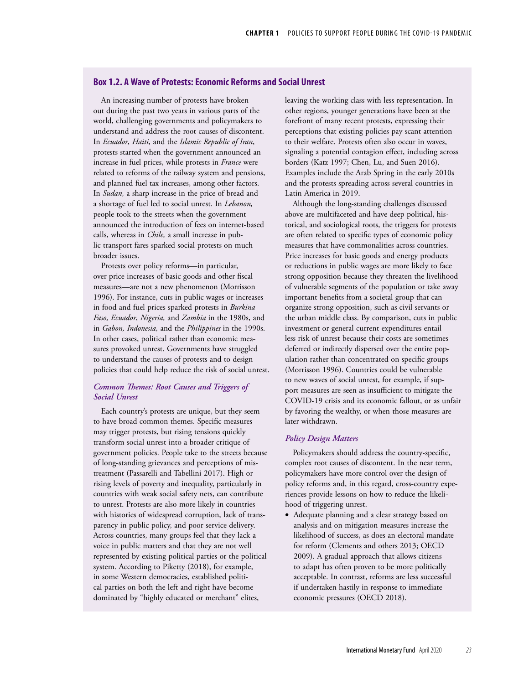## **Box 1.2. A Wave of Protests: Economic Reforms and Social Unrest**

An increasing number of protests have broken out during the past two years in various parts of the world, challenging governments and policymakers to understand and address the root causes of discontent. In *Ecuador*, *Haiti,* and the *Islamic Republic of Iran*, protests started when the government announced an increase in fuel prices, while protests in *France* were related to reforms of the railway system and pensions, and planned fuel tax increases, among other factors. In *Sudan,* a sharp increase in the price of bread and a shortage of fuel led to social unrest. In *Lebanon,* people took to the streets when the government announced the introduction of fees on internet-based calls, whereas in *Chile,* a small increase in public transport fares sparked social protests on much broader issues.

Protests over policy reforms—in particular, over price increases of basic goods and other fiscal measures—are not a new phenomenon (Morrisson 1996). For instance, cuts in public wages or increases in food and fuel prices sparked protests in *Burkina Faso, Ecuador*, *Nigeria,* and *Zambia* in the 1980s, and in *Gabon, Indonesia,* and the *Philippines* in the 1990s. In other cases, political rather than economic measures provoked unrest. Governments have struggled to understand the causes of protests and to design policies that could help reduce the risk of social unrest.

## *Common Themes: Root Causes and Triggers of Social Unrest*

Each country's protests are unique, but they seem to have broad common themes. Specific measures may trigger protests, but rising tensions quickly transform social unrest into a broader critique of government policies. People take to the streets because of long-standing grievances and perceptions of mistreatment (Passarelli and Tabellini 2017). High or rising levels of poverty and inequality, particularly in countries with weak social safety nets, can contribute to unrest. Protests are also more likely in countries with histories of widespread corruption, lack of transparency in public policy, and poor service delivery. Across countries, many groups feel that they lack a voice in public matters and that they are not well represented by existing political parties or the political system. According to Piketty (2018), for example, in some Western democracies, established political parties on both the left and right have become dominated by "highly educated or merchant" elites,

leaving the working class with less representation. In other regions, younger generations have been at the forefront of many recent protests, expressing their perceptions that existing policies pay scant attention to their welfare. Protests often also occur in waves, signaling a potential contagion effect, including across borders (Katz 1997; Chen, Lu, and Suen 2016). Examples include the Arab Spring in the early 2010s and the protests spreading across several countries in Latin America in 2019.

Although the long-standing challenges discussed above are multifaceted and have deep political, historical, and sociological roots, the triggers for protests are often related to specific types of economic policy measures that have commonalities across countries. Price increases for basic goods and energy products or reductions in public wages are more likely to face strong opposition because they threaten the livelihood of vulnerable segments of the population or take away important benefits from a societal group that can organize strong opposition, such as civil servants or the urban middle class. By comparison, cuts in public investment or general current expenditures entail less risk of unrest because their costs are sometimes deferred or indirectly dispersed over the entire population rather than concentrated on specific groups (Morrisson 1996). Countries could be vulnerable to new waves of social unrest, for example, if support measures are seen as insufficient to mitigate the COVID-19 crisis and its economic fallout, or as unfair by favoring the wealthy, or when those measures are later withdrawn.

### *Policy Design Matters*

Policymakers should address the country-specific, complex root causes of discontent. In the near term, policymakers have more control over the design of policy reforms and, in this regard, cross-country experiences provide lessons on how to reduce the likelihood of triggering unrest.

• Adequate planning and a clear strategy based on analysis and on mitigation measures increase the likelihood of success, as does an electoral mandate for reform (Clements and others 2013; OECD 2009). A gradual approach that allows citizens to adapt has often proven to be more politically acceptable. In contrast, reforms are less successful if undertaken hastily in response to immediate economic pressures (OECD 2018).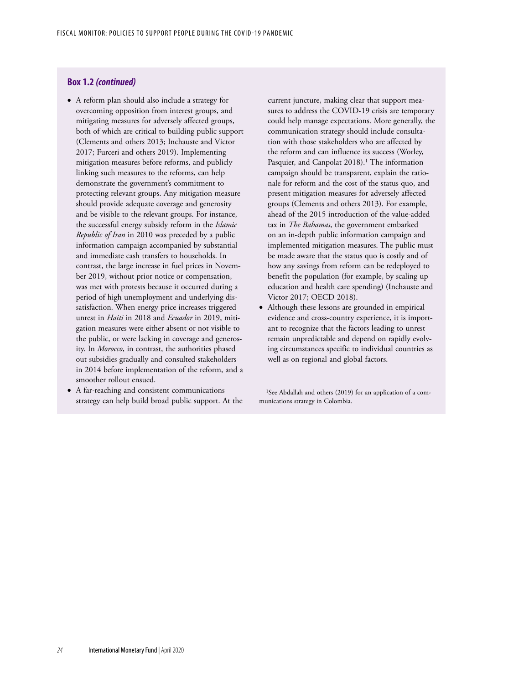### **Box 1.2** *(continued)*

- A reform plan should also include a strategy for overcoming opposition from interest groups, and mitigating measures for adversely affected groups, both of which are critical to building public support (Clements and others 2013; Inchauste and Victor 2017; Furceri and others 2019). Implementing mitigation measures before reforms, and publicly linking such measures to the reforms, can help demonstrate the government's commitment to protecting relevant groups. Any mitigation measure should provide adequate coverage and generosity and be visible to the relevant groups. For instance, the successful energy subsidy reform in the *Islamic Republic of Iran* in 2010 was preceded by a public information campaign accompanied by substantial and immediate cash transfers to households. In contrast, the large increase in fuel prices in November 2019, without prior notice or compensation, was met with protests because it occurred during a period of high unemployment and underlying dissatisfaction. When energy price increases triggered unrest in *Haiti* in 2018 and *Ecuador* in 2019, mitigation measures were either absent or not visible to the public, or were lacking in coverage and generosity. In *Morocco*, in contrast, the authorities phased out subsidies gradually and consulted stakeholders in 2014 before implementation of the reform, and a smoother rollout ensued.
- A far-reaching and consistent communications strategy can help build broad public support. At the

current juncture, making clear that support measures to address the COVID-19 crisis are temporary could help manage expectations. More generally, the communication strategy should include consultation with those stakeholders who are affected by the reform and can influence its success (Worley, Pasquier, and Canpolat 2018).<sup>1</sup> The information campaign should be transparent, explain the rationale for reform and the cost of the status quo, and present mitigation measures for adversely affected groups (Clements and others 2013). For example, ahead of the 2015 introduction of the value-added tax in *The Bahamas*, the government embarked on an in-depth public information campaign and implemented mitigation measures. The public must be made aware that the status quo is costly and of how any savings from reform can be redeployed to benefit the population (for example, by scaling up education and health care spending) (Inchauste and Victor 2017; OECD 2018).

• Although these lessons are grounded in empirical evidence and cross-country experience, it is important to recognize that the factors leading to unrest remain unpredictable and depend on rapidly evolving circumstances specific to individual countries as well as on regional and global factors.

<sup>1</sup>See Abdallah and others (2019) for an application of a communications strategy in Colombia.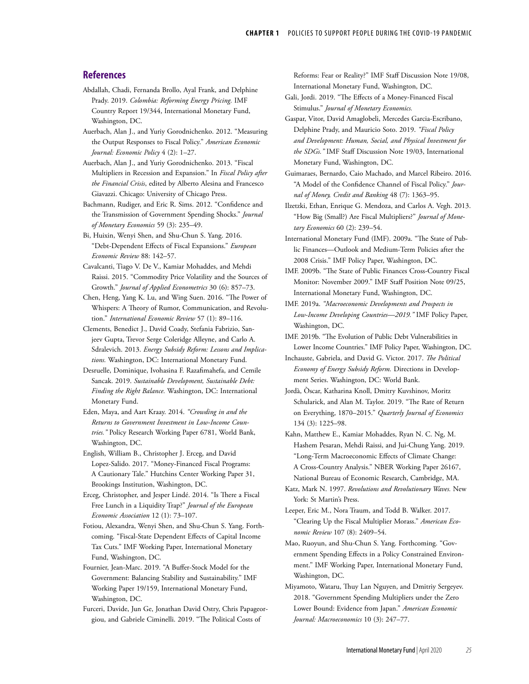### **References**

- Abdallah, Chadi, Fernanda Brollo, Ayal Frank, and Delphine Prady. 2019. *Colombia: Reforming Energy Pricing.* IMF Country Report 19/344, International Monetary Fund, Washington, DC.
- Auerbach, Alan J., and Yuriy Gorodnichenko. 2012. "Measuring the Output Responses to Fiscal Policy." *American Economic Journal: Economic Policy* 4 (2): 1–27.
- Auerbach, Alan J., and Yuriy Gorodnichenko. 2013. "Fiscal Multipliers in Recession and Expansion." In *Fiscal Policy after the Financial Crisis*, edited by Alberto Alesina and Francesco Giavazzi. Chicago: University of Chicago Press.
- Bachmann, Rudiger, and Eric R. Sims. 2012. "Confidence and the Transmission of Government Spending Shocks." *Journal of Monetary Economics* 59 (3): 235–49.
- Bi, Huixin, Wenyi Shen, and Shu-Chun S. Yang. 2016. "Debt-Dependent Effects of Fiscal Expansions." *European Economic Review* 88: 142–57.
- Cavalcanti, Tiago V. De V., Kamiar Mohaddes, and Mehdi Raissi. 2015. "Commodity Price Volatility and the Sources of Growth." *Journal of Applied Econometrics* 30 (6): 857–73.
- Chen, Heng, Yang K. Lu, and Wing Suen. 2016. "The Power of Whispers: A Theory of Rumor, Communication, and Revolution." *International Economic Review* 57 (1): 89–116.
- Clements, Benedict J., David Coady, Stefania Fabrizio, Sanjeev Gupta, Trevor Serge Coleridge Alleyne, and Carlo A. Sdralevich. 2013. *Energy Subsidy Reform: Lessons and Implications.* Washington, DC: International Monetary Fund.
- Desruelle, Dominique, Ivohasina F. Razafimahefa, and Cemile Sancak. 2019. *Sustainable Development, Sustainable Debt: Finding the Right Balance.* Washington, DC: International Monetary Fund.
- Eden, Maya, and Aart Kraay. 2014. *"Crowding in and the Returns to Government Investment in Low-Income Countries."* Policy Research Working Paper 6781, World Bank, Washington, DC.
- English, William B., Christopher J. Erceg, and David Lopez-Salido. 2017. "Money-Financed Fiscal Programs: A Cautionary Tale." Hutchins Center Working Paper 31, Brookings Institution, Washington, DC.
- Erceg, Christopher, and Jesper Lindé. 2014. "Is There a Fiscal Free Lunch in a Liquidity Trap?" *Journal of the European Economic Association* 12 (1): 73–107.
- Fotiou, Alexandra, Wenyi Shen, and Shu-Chun S. Yang. Forthcoming. "Fiscal-State Dependent Effects of Capital Income Tax Cuts." IMF Working Paper, International Monetary Fund, Washington, DC.
- Fournier, Jean-Marc. 2019. "A Buffer-Stock Model for the Government: Balancing Stability and Sustainability." IMF Working Paper 19/159, International Monetary Fund, Washington, DC.
- Furceri, Davide, Jun Ge, Jonathan David Ostry, Chris Papageorgiou, and Gabriele Ciminelli. 2019. "The Political Costs of

Reforms: Fear or Reality?" IMF Staff Discussion Note 19/08, International Monetary Fund, Washington, DC.

- Gali, Jordi. 2019. "The Effects of a Money-Financed Fiscal Stimulus." *Journal of Monetary Economics.*
- Gaspar, Vitor, David Amaglobeli, Mercedes Garcia-Escribano, Delphine Prady, and Mauricio Soto. 2019. *"Fiscal Policy and Development: Human, Social, and Physical Investment for the SDGs."* IMF Staff Discussion Note 19/03, International Monetary Fund, Washington, DC.
- Guimaraes, Bernardo, Caio Machado, and Marcel Ribeiro. 2016. "A Model of the Confidence Channel of Fiscal Policy." *Journal of Money, Credit and Banking* 48 (7): 1363–95.
- Ilzetzki, Ethan, Enrique G. Mendoza, and Carlos A. Vegh. 2013. "How Big (Small?) Are Fiscal Multipliers?" *Journal of Monetary Economics* 60 (2): 239–54.
- International Monetary Fund (IMF). 2009a. "The State of Public Finances—Outlook and Medium-Term Policies after the 2008 Crisis." IMF Policy Paper, Washington, DC.
- IMF. 2009b. "The State of Public Finances Cross-Country Fiscal Monitor: November 2009." IMF Staff Position Note 09/25, International Monetary Fund, Washington, DC.
- IMF. 2019a. *"Macroeconomic Developments and Prospects in Low-Income Developing Countries—2019."* IMF Policy Paper, Washington, DC.
- IMF. 2019b. "The Evolution of Public Debt Vulnerabilities in Lower Income Countries." IMF Policy Paper, Washington, DC.
- Inchauste, Gabriela, and David G. Victor. 2017. *The Political Economy of Energy Subsidy Reform.* Directions in Development Series. Washington, DC: World Bank.
- Jordà, Òscar, Katharina Knoll, Dmitry Kuvshinov, Moritz Schularick, and Alan M. Taylor. 2019. "The Rate of Return on Everything, 1870–2015." *Quarterly Journal of Economics* 134 (3): 1225–98.
- Kahn, Matthew E., Kamiar Mohaddes, Ryan N. C. Ng, M. Hashem Pesaran, Mehdi Raissi, and Jui-Chung Yang. 2019. "Long-Term Macroeconomic Effects of Climate Change: A Cross-Country Analysis." NBER Working Paper 26167, National Bureau of Economic Research, Cambridge, MA.
- Katz, Mark N. 1997. *Revolutions and Revolutionary Waves.* New York: St Martin's Press.
- Leeper, Eric M., Nora Traum, and Todd B. Walker. 2017. "Clearing Up the Fiscal Multiplier Morass." *American Economic Review* 107 (8): 2409–54.
- Mao, Ruoyun, and Shu-Chun S. Yang. Forthcoming. "Government Spending Effects in a Policy Constrained Environment." IMF Working Paper, International Monetary Fund, Washington, DC.
- Miyamoto, Wataru, Thuy Lan Nguyen, and Dmitriy Sergeyev. 2018. "Government Spending Multipliers under the Zero Lower Bound: Evidence from Japan." *American Economic Journal: Macroeconomics* 10 (3): 247–77.